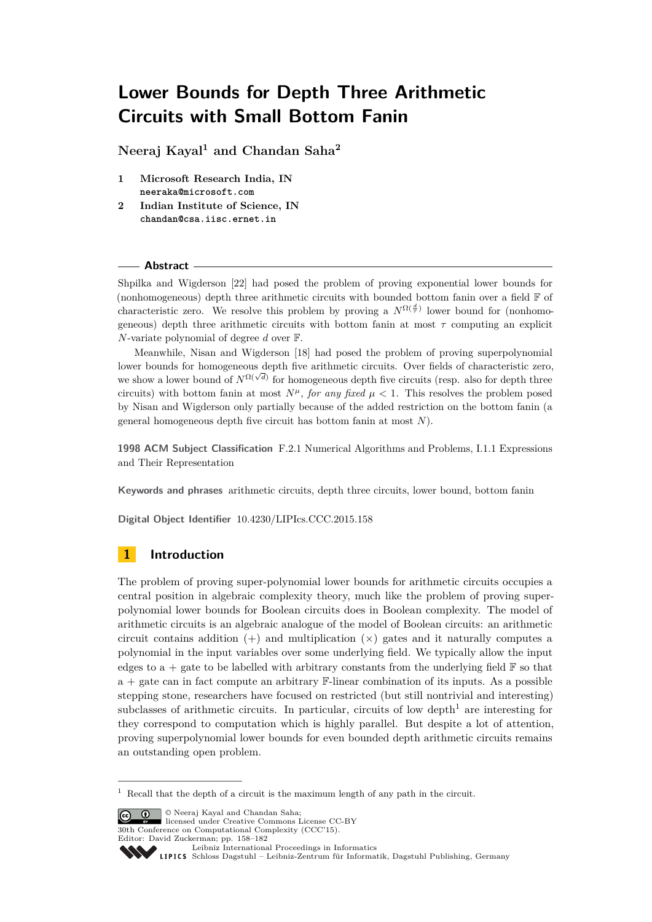**Neeraj Kayal<sup>1</sup> and Chandan Saha<sup>2</sup>**

- **1 Microsoft Research India, IN neeraka@microsoft.com**
- **2 Indian Institute of Science, IN chandan@csa.iisc.ernet.in**

### **Abstract**

Shpilka and Wigderson [\[22\]](#page-15-0) had posed the problem of proving exponential lower bounds for (nonhomogeneous) depth three arithmetic circuits with bounded bottom fanin over a field  $\mathbb F$  of characteristic zero. We resolve this problem by proving a  $N^{\Omega(\frac{d}{\tau})}$  lower bound for (nonhomogeneous) depth three arithmetic circuits with bottom fanin at most *τ* computing an explicit *N*-variate polynomial of degree *d* over F.

Meanwhile, Nisan and Wigderson [\[18\]](#page-15-1) had posed the problem of proving superpolynomial lower bounds for homogeneous depth five arithmetic circuits. Over fields of characteristic zero, we show a lower bound of  $N^{\Omega(\sqrt{d})}$  for homogeneous depth five circuits (resp. also for depth three circuits) with bottom fanin at most  $N^{\mu}$ , *for any fixed*  $\mu < 1$ . This resolves the problem posed by Nisan and Wigderson only partially because of the added restriction on the bottom fanin (a general homogeneous depth five circuit has bottom fanin at most *N*).

**1998 ACM Subject Classification** F.2.1 Numerical Algorithms and Problems, I.1.1 Expressions and Their Representation

**Keywords and phrases** arithmetic circuits, depth three circuits, lower bound, bottom fanin

**Digital Object Identifier** [10.4230/LIPIcs.CCC.2015.158](http://dx.doi.org/10.4230/LIPIcs.CCC.2015.158)

# **1 Introduction**

The problem of proving super-polynomial lower bounds for arithmetic circuits occupies a central position in algebraic complexity theory, much like the problem of proving superpolynomial lower bounds for Boolean circuits does in Boolean complexity. The model of arithmetic circuits is an algebraic analogue of the model of Boolean circuits: an arithmetic circuit contains addition  $(+)$  and multiplication  $(\times)$  gates and it naturally computes a polynomial in the input variables over some underlying field. We typically allow the input edges to a + gate to be labelled with arbitrary constants from the underlying field  $\mathbb F$  so that  $a + g$ ate can in fact compute an arbitrary  $\mathbb{F}$ -linear combination of its inputs. As a possible stepping stone, researchers have focused on restricted (but still nontrivial and interesting) subclasses of arithmetic circuits. In particular, circuits of low depth<sup>[1](#page-0-0)</sup> are interesting for they correspond to computation which is highly parallel. But despite a lot of attention, proving superpolynomial lower bounds for even bounded depth arithmetic circuits remains an outstanding open problem.

© Neeraj Kayal and Chandan Saha; licensed under Creative Commons License CC-BY 30th Conference on Computational Complexity (CCC'15).

Editor: David Zuckerman; pp. 158[–182](#page-24-0)

<span id="page-0-0"></span><sup>1</sup> Recall that the depth of a circuit is the maximum length of any path in the circuit.

[Leibniz International Proceedings in Informatics](http://www.dagstuhl.de/lipics/)

Leibniz International Froceedings in miorimetric<br>
LIPICS [Schloss Dagstuhl – Leibniz-Zentrum für Informatik, Dagstuhl Publishing, Germany](http://www.dagstuhl.de)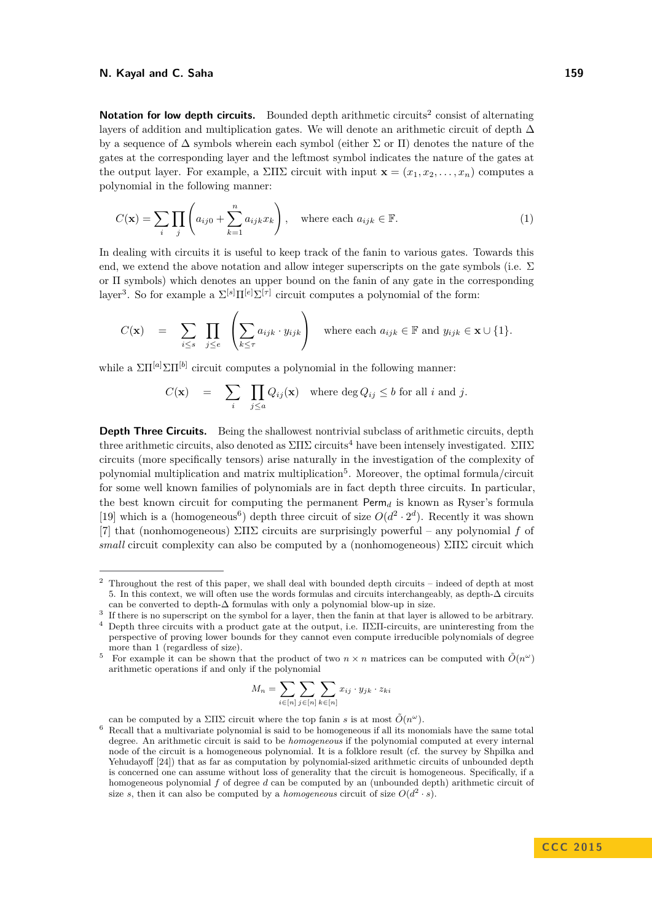Notation for low depth circuits. Bounded depth arithmetic circuits<sup>[2](#page-1-0)</sup> consist of alternating layers of addition and multiplication gates. We will denote an arithmetic circuit of depth  $\Delta$ by a sequence of  $\Delta$  symbols wherein each symbol (either  $\Sigma$  or  $\Pi$ ) denotes the nature of the gates at the corresponding layer and the leftmost symbol indicates the nature of the gates at the output layer. For example, a  $\Sigma\Pi\Sigma$  circuit with input  $\mathbf{x} = (x_1, x_2, \dots, x_n)$  computes a polynomial in the following manner:

$$
C(\mathbf{x}) = \sum_{i} \prod_{j} \left( a_{ij0} + \sum_{k=1}^{n} a_{ijk} x_k \right), \quad \text{where each } a_{ijk} \in \mathbb{F}.
$$
 (1)

In dealing with circuits it is useful to keep track of the fanin to various gates. Towards this end, we extend the above notation and allow integer superscripts on the gate symbols (i.e.  $\Sigma$ or Π symbols) which denotes an upper bound on the fanin of any gate in the corresponding layer<sup>[3](#page-1-1)</sup>. So for example a  $\Sigma^{[s]}\Pi^{[e]}\Sigma^{[\tau]}$  circuit computes a polynomial of the form:

$$
C(\mathbf{x}) = \sum_{i \leq s} \prod_{j \leq e} \left( \sum_{k \leq \tau} a_{ijk} \cdot y_{ijk} \right) \text{ where each } a_{ijk} \in \mathbb{F} \text{ and } y_{ijk} \in \mathbf{x} \cup \{1\}.
$$

while a  $\Sigma\Pi^{[a]}\Sigma\Pi^{[b]}$  circuit computes a polynomial in the following manner:

$$
C(\mathbf{x}) = \sum_{i} \prod_{j \leq a} Q_{ij}(\mathbf{x}) \text{ where } \deg Q_{ij} \leq b \text{ for all } i \text{ and } j.
$$

**Depth Three Circuits.** Being the shallowest nontrivial subclass of arithmetic circuits, depth three arithmetic circuits, also denoted as  $\Sigma\Pi\Sigma$  circuits<sup>[4](#page-1-2)</sup> have been intensely investigated.  $\Sigma\Pi\Sigma$ circuits (more specifically tensors) arise naturally in the investigation of the complexity of polynomial multiplication and matrix multiplication<sup>[5](#page-1-3)</sup>. Moreover, the optimal formula/circuit for some well known families of polynomials are in fact depth three circuits. In particular, the best known circuit for computing the permanent  $\text{Perm}_d$  is known as Ryser's formula [\[19\]](#page-15-2) which is a (homogeneous<sup>[6](#page-1-4)</sup>) depth three circuit of size  $O(d^2 \cdot 2^d)$ . Recently it was shown [\[7\]](#page-15-3) that (nonhomogeneous) ΣΠΣ circuits are surprisingly powerful – any polynomial *f* of *small* circuit complexity can also be computed by a (nonhomogeneous) ΣΠΣ circuit which

$$
M_n = \sum_{i \in [n]} \sum_{j \in [n]} \sum_{k \in [n]} x_{ij} \cdot y_{jk} \cdot z_{ki}
$$

can be computed by a  $\Sigma\Pi\Sigma$  circuit where the top fanin *s* is at most  $\tilde{O}(n^{\omega})$ .

<span id="page-1-0"></span><sup>2</sup> Throughout the rest of this paper, we shall deal with bounded depth circuits – indeed of depth at most 5. In this context, we will often use the words formulas and circuits interchangeably, as depth-∆ circuits can be converted to depth- $\Delta$  formulas with only a polynomial blow-up in size.

<span id="page-1-1"></span><sup>3</sup> If there is no superscript on the symbol for a layer, then the fanin at that layer is allowed to be arbitrary.

<span id="page-1-2"></span><sup>4</sup> Depth three circuits with a product gate at the output, i.e. ΠΣΠ-circuits, are uninteresting from the perspective of proving lower bounds for they cannot even compute irreducible polynomials of degree more than 1 (regardless of size).

<span id="page-1-3"></span><sup>&</sup>lt;sup>5</sup> For example it can be shown that the product of two  $n \times n$  matrices can be computed with  $\tilde{O}(n^{\omega})$ arithmetic operations if and only if the polynomial

<span id="page-1-4"></span><sup>6</sup> Recall that a multivariate polynomial is said to be homogeneous if all its monomials have the same total degree. An arithmetic circuit is said to be *homogeneous* if the polynomial computed at every internal node of the circuit is a homogeneous polynomial. It is a folklore result (cf. the survey by Shpilka and Yehudayoff [\[24\]](#page-15-4)) that as far as computation by polynomial-sized arithmetic circuits of unbounded depth is concerned one can assume without loss of generality that the circuit is homogeneous. Specifically, if a homogeneous polynomial *f* of degree *d* can be computed by an (unbounded depth) arithmetic circuit of size *s*, then it can also be computed by a *homogeneous* circuit of size  $O(d^2 \cdot s)$ .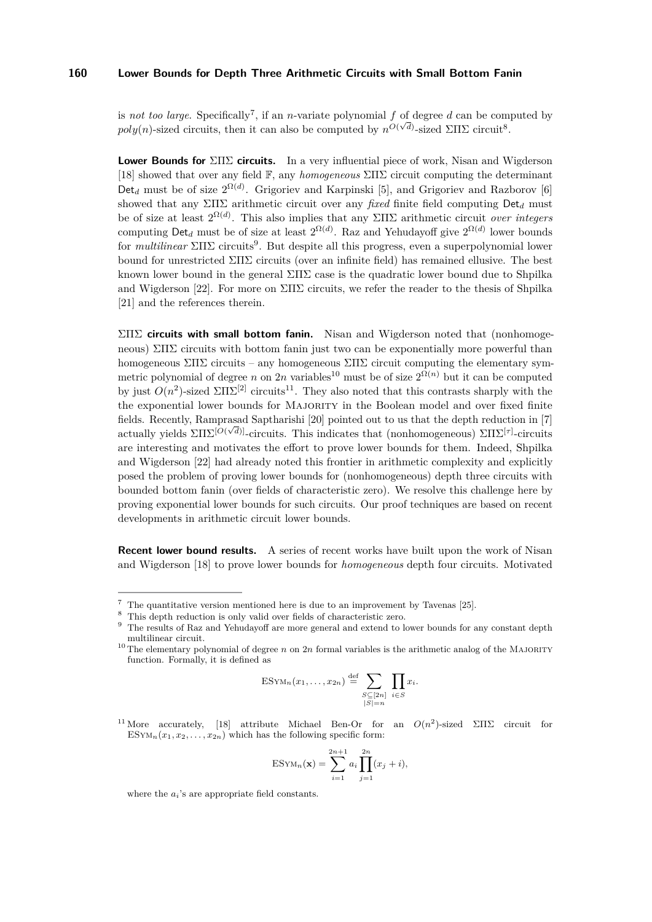is *not too large*. Specifically<sup>[7](#page-2-0)</sup>, if an *n*-variate polynomial f of degree d can be computed by  $poly(n)$ -sized circuits, then it can also be computed by  $n^{O(\sqrt{d})}$ -sized  $\Sigma \Pi \Sigma$  circuit<sup>[8](#page-2-1)</sup>.

**Lower Bounds for** ΣΠΣ **circuits.** In a very influential piece of work, Nisan and Wigderson [\[18\]](#page-15-1) showed that over any field F, any *homogeneous* ΣΠΣ circuit computing the determinant Det<sub>d</sub> must be of size  $2^{\Omega(d)}$ . Grigoriev and Karpinski [\[5\]](#page-14-0), and Grigoriev and Razborov [\[6\]](#page-15-5) showed that any ΣΠΣ arithmetic circuit over any *fixed* finite field computing Det*<sup>d</sup>* must be of size at least 2 Ω(*d*) . This also implies that any ΣΠΣ arithmetic circuit *over integers* computing  $\text{Det}_d$  must be of size at least  $2^{\Omega(d)}$ . Raz and Yehudayoff give  $2^{\Omega(d)}$  lower bounds for *multilinear* ΣΠΣ circuits[9](#page-2-2) . But despite all this progress, even a superpolynomial lower bound for unrestricted ΣΠΣ circuits (over an infinite field) has remained ellusive. The best known lower bound in the general  $\Sigma\Pi\Sigma$  case is the quadratic lower bound due to Shpilka and Wigderson [\[22\]](#page-15-0). For more on  $\Sigma\Pi\Sigma$  circuits, we refer the reader to the thesis of Shpilka [\[21\]](#page-15-6) and the references therein.

ΣΠΣ **circuits with small bottom fanin.** Nisan and Wigderson noted that (nonhomogeneous)  $\Sigma\Pi\Sigma$  circuits with bottom fanin just two can be exponentially more powerful than homogeneous  $\Sigma\Pi\Sigma$  circuits – any homogeneous  $\Sigma\Pi\Sigma$  circuit computing the elementary symmetric polynomial of degree *n* on 2*n* variables<sup>[10](#page-2-3)</sup> must be of size  $2^{\Omega(n)}$  but it can be computed by just  $O(n^2)$ -sized  $\Sigma\Pi\Sigma^{[2]}$  circuits<sup>[11](#page-2-4)</sup>. They also noted that this contrasts sharply with the the exponential lower bounds for Majority in the Boolean model and over fixed finite fields. Recently, Ramprasad Saptharishi [\[20\]](#page-15-7) pointed out to us that the depth reduction in [\[7\]](#page-15-3) actually yields ΣΠΣ[*O*( *<sup>d</sup>*)]-circuits. This indicates that (nonhomogeneous) ΣΠΣ[*τ*] -circuits are interesting and motivates the effort to prove lower bounds for them. Indeed, Shpilka and Wigderson [\[22\]](#page-15-0) had already noted this frontier in arithmetic complexity and explicitly posed the problem of proving lower bounds for (nonhomogeneous) depth three circuits with bounded bottom fanin (over fields of characteristic zero). We resolve this challenge here by proving exponential lower bounds for such circuits. Our proof techniques are based on recent developments in arithmetic circuit lower bounds.

**Recent lower bound results.** A series of recent works have built upon the work of Nisan and Wigderson [\[18\]](#page-15-1) to prove lower bounds for *homogeneous* depth four circuits. Motivated

$$
\text{ESYM}_n(x_1,\ldots,x_{2n}) \stackrel{\text{def}}{=} \sum_{\substack{S \subseteq [2n] \\ |S|=n}} \prod_{i \in S} x_i.
$$

<span id="page-2-4"></span><sup>11</sup> More accurately, [\[18\]](#page-15-1) attribute Michael Ben-Or for an  $O(n^2)$ -sized ΣΠΣ circuit for ESYM<sub>n</sub> $(x_1, x_2, \ldots, x_{2n})$  which has the following specific form:

$$
ESYM_n(\mathbf{x}) = \sum_{i=1}^{2n+1} a_i \prod_{j=1}^{2n} (x_j + i),
$$

where the *ai*'s are appropriate field constants.

<span id="page-2-0"></span><sup>7</sup> The quantitative version mentioned here is due to an improvement by Tavenas [\[25\]](#page-15-8).

<span id="page-2-1"></span>This depth reduction is only valid over fields of characteristic zero.

<span id="page-2-2"></span><sup>9</sup> The results of Raz and Yehudayoff are more general and extend to lower bounds for any constant depth multilinear circuit.

<span id="page-2-3"></span><sup>&</sup>lt;sup>10</sup> The elementary polynomial of degree  $n$  on  $2n$  formal variables is the arithmetic analog of the MAJORITY function. Formally, it is defined as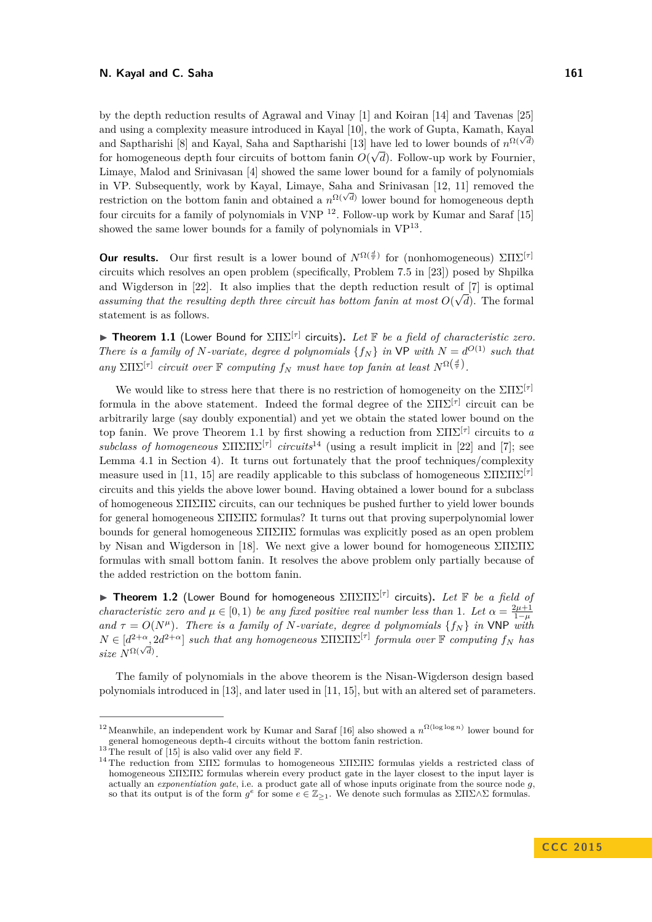by the depth reduction results of Agrawal and Vinay [\[1\]](#page-14-1) and Koiran [\[14\]](#page-15-9) and Tavenas [\[25\]](#page-15-8) and using a complexity measure introduced in Kayal [\[10\]](#page-15-10), the work of Gupta, Kamath, Kayal and Saptharishi [\[8\]](#page-15-11) and Kayal, Saha and Saptharishi [\[13\]](#page-15-12) have led to lower bounds of  $n^{\Omega(\sqrt{d})}$ for homogeneous depth four circuits of bottom fanin  $O(\sqrt{d})$ . Follow-up work by Fournier, Limaye, Malod and Srinivasan [\[4\]](#page-14-2) showed the same lower bound for a family of polynomials in VP. Subsequently, work by Kayal, Limaye, Saha and Srinivasan [\[12,](#page-15-13) [11\]](#page-15-14) removed the restriction on the bottom fanin and obtained a  $n^{\Omega(\sqrt{d})}$  lower bound for homogeneous depth restriction on the bottom fanin and obtained a  $n^{\Omega(\sqrt{d})}$  lower bound for homogeneous depth four circuits for a family of polynomials in VNP <sup>[12](#page-3-0)</sup>. Follow-up work by Kumar and Saraf [\[15\]](#page-15-15) showed the same lower bounds for a family of polynomials in  $VP^{13}$  $VP^{13}$  $VP^{13}$ .

**Our results.** Our first result is a lower bound of  $N^{\Omega(\frac{d}{\tau})}$  for (nonhomogeneous)  $\sum \prod \sum^{\tau}$ circuits which resolves an open problem (specifically, Problem 7*.*5 in [\[23\]](#page-15-16)) posed by Shpilka and Wigderson in [\[22\]](#page-15-0). It also implies that the depth reduction result of  $[7]$  is optimal assuming that the resulting depth three circuit has bottom fanin at most  $O(\sqrt{d})$ . The formal statement is as follows.

<span id="page-3-2"></span>**► Theorem 1.1** (Lower Bound for  $\Sigma\Pi\Sigma^{[τ]}$  circuits). Let **F** be a field of characteristic zero. *There is a family of N-variate, degree d polynomials*  $\{f_N\}$  *in*  $\mathsf{VP}$  *with*  $N = d^{O(1)}$  *such that*  $\sum_{i}$   $\sum_{i}$   $\sum_{i}$  *circuit over* **F** *computing*  $f_N$  *must have top fanin at least*  $N^{\Omega(\frac{d}{r})}$ .

We would like to stress here that there is no restriction of homogeneity on the ΣΠΣ[*τ*] formula in the above statement. Indeed the formal degree of the  $\Sigma\Pi\Sigma^{[\tau]}$  circuit can be arbitrarily large (say doubly exponential) and yet we obtain the stated lower bound on the top fanin. We prove Theorem [1.1](#page-3-2) by first showing a reduction from  $\Sigma\Pi\Sigma^{[\tau]}$  circuits to *a subclass of homogeneous*  $\sum \Pi \sum \Pi \Sigma^{[\tau]}$  *circuits*<sup>[14](#page-3-3)</sup> (using a result implicit in [\[22\]](#page-15-0) and [\[7\]](#page-15-3); see Lemma [4.1](#page-7-0) in Section [4\)](#page-7-1). It turns out fortunately that the proof techniques/complexity measure used in [\[11,](#page-15-14) [15\]](#page-15-15) are readily applicable to this subclass of homogeneous  $\Sigma\Pi\Sigma\Pi\Sigma^{[\tau]}$ circuits and this yields the above lower bound. Having obtained a lower bound for a subclass of homogeneous ΣΠΣΠΣ circuits, can our techniques be pushed further to yield lower bounds for general homogeneous  $\Sigma\Pi\Sigma\Pi\Sigma$  formulas? It turns out that proving superpolynomial lower bounds for general homogeneous  $\Sigma\Pi\Sigma\Pi\Sigma$  formulas was explicitly posed as an open problem by Nisan and Wigderson in [\[18\]](#page-15-1). We next give a lower bound for homogeneous  $\Sigma\Pi\Sigma\Pi\Sigma$ formulas with small bottom fanin. It resolves the above problem only partially because of the added restriction on the bottom fanin.

<span id="page-3-4"></span>**► Theorem 1.2** (Lower Bound for homogeneous  $\Sigma\Pi\Sigma\Pi\Sigma^{[\tau]}$  circuits). Let **F** be a field of *characteristic zero and*  $\mu \in [0, 1)$  *be any fixed positive real number less than* 1*. Let*  $\alpha = \frac{2\mu + 1}{1 - \mu}$ *and*  $\tau = O(N^{\mu})$ *. There is a family of N-variate, degree d polynomials*  $\{f_N\}$  *in* VNP *with*  $N \in [d^{2+\alpha}, 2d^{2+\alpha}]$  *such that any homogeneous*  $\sum \Pi \sum \Pi \Sigma^{[\tau]}$  *formula over*  $\mathbb F$  *computing*  $f_N$  *has*  $\int \sinh\theta \, d\theta \, d\theta$ ,  $\int \sinh\theta \, d\theta$ ,  $\int \sinh\theta \, d\theta$ ,  $\int \sinh\theta \, d\theta$ ,  $\int \sinh\theta \, d\theta$ ,  $\int \sinh\theta \, d\theta$ ,  $\int \sinh\theta \, d\theta$ ,  $\int \sinh\theta \, d\theta$ ,  $\int \sinh\theta \, d\theta$ ,  $\int \sinh\theta \, d\theta$ ,  $\int \sinh\theta \, d\theta$ ,  $\int \sinh\theta \, d\theta$ ,  $\int \sinh\theta \, d\theta$ ,  $\int \sinh\theta$ 

The family of polynomials in the above theorem is the Nisan-Wigderson design based polynomials introduced in [\[13\]](#page-15-12), and later used in [\[11,](#page-15-14) [15\]](#page-15-15), but with an altered set of parameters.

<span id="page-3-0"></span><sup>&</sup>lt;sup>12</sup> Meanwhile, an independent work by Kumar and Saraf [\[16\]](#page-15-17) also showed a  $n^{\Omega(\log \log n)}$  lower bound for general homogeneous depth-4 circuits without the bottom fanin restriction.

<span id="page-3-1"></span> $^{13}$  The result of [\[15\]](#page-15-15) is also valid over any field F.

<span id="page-3-3"></span><sup>&</sup>lt;sup>14</sup> The reduction from ΣΠΣ formulas to homogeneous ΣΠΣΠΣ formulas yields a restricted class of homogeneous ΣΠΣΠΣ formulas wherein every product gate in the layer closest to the input layer is actually an *exponentiation gate*, i.e. a product gate all of whose inputs originate from the source node *g*, so that its output is of the form  $g^e$  for some  $e \in \mathbb{Z}_{\geq 1}$ . We denote such formulas as  $\Sigma \Pi \Sigma \wedge \Sigma$  formulas.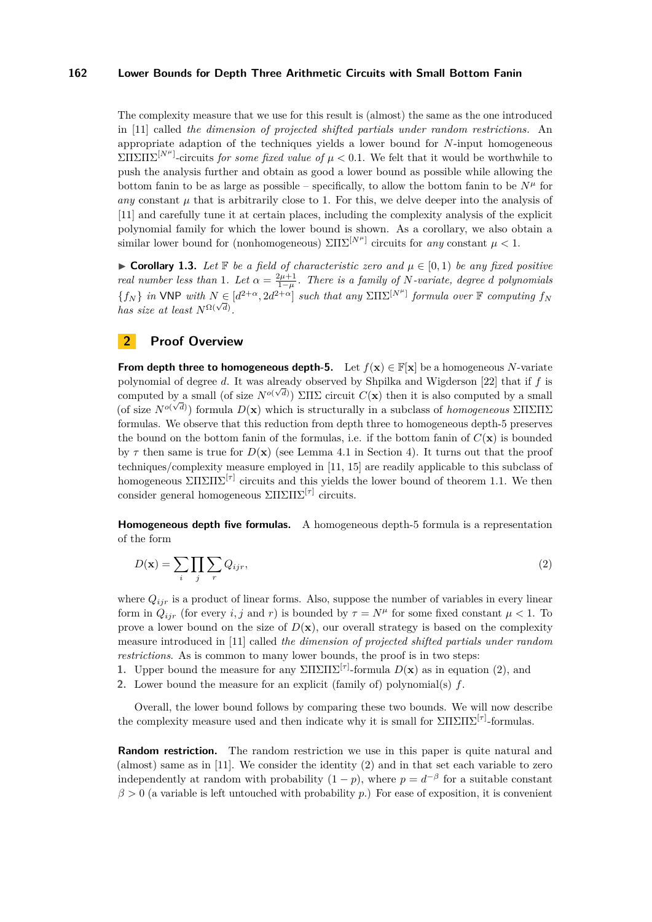The complexity measure that we use for this result is (almost) the same as the one introduced in [\[11\]](#page-15-14) called *the dimension of projected shifted partials under random restrictions.* An appropriate adaption of the techniques yields a lower bound for *N*-input homogeneous  $\sum \Pi \sum \Pi \sum^{[N^{\mu}]}$ -circuits *for some fixed value of*  $\mu < 0.1$ . We felt that it would be worthwhile to push the analysis further and obtain as good a lower bound as possible while allowing the bottom fanin to be as large as possible – specifically, to allow the bottom fanin to be  $N^{\mu}$  for *any* constant  $\mu$  that is arbitrarily close to 1. For this, we delve deeper into the analysis of [\[11\]](#page-15-14) and carefully tune it at certain places, including the complexity analysis of the explicit polynomial family for which the lower bound is shown. As a corollary, we also obtain a similar lower bound for (nonhomogeneous)  $\Sigma\Pi\Sigma^{[N^{\mu}]}$  circuits for *any* constant  $\mu < 1$ .

**► Corollary 1.3.** Let  $\mathbb{F}$  be a field of characteristic zero and  $\mu \in [0,1)$  be any fixed positive *real number less than* 1*. Let*  $\alpha = \frac{2\mu + 1}{1 - \mu}$ *. There is a family of N-variate, degree d polynomials*  ${f_N}$  *in* VNP *with*  $N \in [d^{2+\alpha}, 2d^{2+\alpha}]$  *such that any*  $\Sigma\Pi\Sigma^{[N^{\mu}]}$  *formula over*  $\mathbb F$  *computing*  $f_N$ *has size at least*  $N^{\Omega(\sqrt{d})}$ .

### <span id="page-4-1"></span>**2 Proof Overview**

**From depth three to homogeneous depth-5.** Let  $f(\mathbf{x}) \in \mathbb{F}[\mathbf{x}]$  be a homogeneous *N*-variate polynomial of degree *d*. It was already observed by Shpilka and Wigderson [\[22\]](#page-15-0) that if *f* is computed by a small (of size  $N^{o(\sqrt{d})}$ ) ΣΠΣ circuit  $C(\mathbf{x})$  then it is also computed by a small (of size  $N^{o(\sqrt{d})}$ ) formula  $D(\mathbf{x})$  which is structurally in a subclass of *homogeneous* ΣΠΣΠΣ formulas. We observe that this reduction from depth three to homogeneous depth-5 preserves the bound on the bottom fanin of the formulas, i.e. if the bottom fanin of  $C(\mathbf{x})$  is bounded by  $\tau$  then same is true for  $D(\mathbf{x})$  (see Lemma [4.1](#page-7-0) in Section [4\)](#page-7-1). It turns out that the proof techniques/complexity measure employed in [\[11,](#page-15-14) [15\]](#page-15-15) are readily applicable to this subclass of homogeneous  $\Sigma\Pi\Sigma\Pi\Sigma^{[\tau]}$  circuits and this yields the lower bound of theorem [1.1.](#page-3-2) We then consider general homogeneous ΣΠΣΠΣ[*τ*] circuits.

**Homogeneous depth five formulas.** A homogeneous depth-5 formula is a representation of the form

<span id="page-4-0"></span>
$$
D(\mathbf{x}) = \sum_{i} \prod_{j} \sum_{r} Q_{ijr},\tag{2}
$$

where  $Q_{ijr}$  is a product of linear forms. Also, suppose the number of variables in every linear form in  $Q_{ijr}$  (for every *i, j* and *r*) is bounded by  $\tau = N^{\mu}$  for some fixed constant  $\mu < 1$ . To prove a lower bound on the size of  $D(\mathbf{x})$ , our overall strategy is based on the complexity measure introduced in [\[11\]](#page-15-14) called *the dimension of projected shifted partials under random restrictions*. As is common to many lower bounds, the proof is in two steps:

**1.** Upper bound the measure for any  $\Sigma\Pi\Sigma\Pi\Sigma^{\lceil\tau\rceil}$ -formula  $D(\mathbf{x})$  as in equation [\(2\)](#page-4-0), and

**2.** Lower bound the measure for an explicit (family of) polynomial(s) *f*.

Overall, the lower bound follows by comparing these two bounds. We will now describe the complexity measure used and then indicate why it is small for  $\Sigma\Pi\Sigma\Pi\Sigma^{\lceil \tau \rceil}$ -formulas.

**Random restriction.** The random restriction we use in this paper is quite natural and (almost) same as in [\[11\]](#page-15-14). We consider the identity [\(2\)](#page-4-0) and in that set each variable to zero independently at random with probability  $(1 - p)$ , where  $p = d^{-\beta}$  for a suitable constant  $\beta > 0$  (a variable is left untouched with probability *p*.) For ease of exposition, it is convenient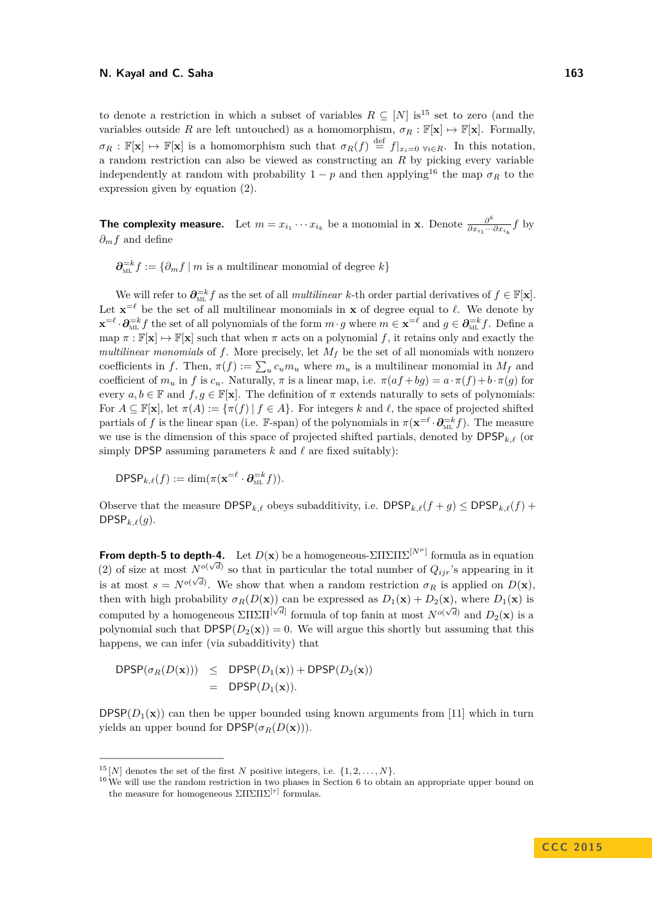to denote a restriction in which a subset of variables  $R \subseteq [N]$  is<sup>[15](#page-5-0)</sup> set to zero (and the variables outside *R* are left untouched) as a homomorphism,  $\sigma_R : \mathbb{F}[\mathbf{x}] \mapsto \mathbb{F}[\mathbf{x}]$ . Formally,  $\sigma_R : \mathbb{F}[\mathbf{x}] \mapsto \mathbb{F}[\mathbf{x}]$  is a homomorphism such that  $\sigma_R(f) \stackrel{\text{def}}{=} f|_{x_i=0 \ \forall i \in R}$ . In this notation, a random restriction can also be viewed as constructing an *R* by picking every variable independently at random with probability  $1 - p$  and then applying<sup>[16](#page-5-1)</sup> the map  $\sigma_R$  to the expression given by equation [\(2\)](#page-4-0).

**The complexity measure.** Let  $m = x_{i_1} \cdots x_{i_k}$  be a monomial in **x**. Denote  $\frac{\partial^k}{\partial x_{i_1} \cdots x_{i_k}}$  $\frac{\partial^n}{\partial x_{i_1} \cdots \partial x_{i_k}} f$  by *∂mf* and define

 $\partial_{\text{ML}}^{-k} f := \{ \partial_m f \mid m \text{ is a multilinear monomial of degree } k \}$ 

We will refer to  $\partial_{ML}^{-k} f$  as the set of all *multilinear k*-th order partial derivatives of  $f \in \mathbb{F}[\mathbf{x}]$ . Let  $\mathbf{x} = \ell$  be the set of all multilinear monomials in **x** of degree equal to  $\ell$ . We denote by  $\mathbf{x} = \ell \cdot \partial_{ML}^{-k} f$  the set of all polynomials of the form  $m \cdot g$  where  $m \in \mathbf{x} = \ell$  and  $g \in \partial_{ML}^{-k} f$ . Define a map  $\pi : \mathbb{F}[\mathbf{x}] \mapsto \mathbb{F}[\mathbf{x}]$  such that when  $\pi$  acts on a polynomial f, it retains only and exactly the *multilinear monomials* of *f*. More precisely, let *M<sup>f</sup>* be the set of all monomials with nonzero coefficients in *f*. Then,  $\pi(f) := \sum_{u} c_u m_u$  where  $m_u$  is a multilinear monomial in  $M_f$  and coefficient of  $m_u$  in f is  $c_u$ . Naturally,  $\pi$  is a linear map, i.e.  $\pi(af+bg) = a \cdot \pi(f) + b \cdot \pi(g)$  for every  $a, b \in \mathbb{F}$  and  $f, g \in \mathbb{F}[\mathbf{x}]$ . The definition of  $\pi$  extends naturally to sets of polynomials: For  $A \subseteq \mathbb{F}[\mathbf{x}]$ , let  $\pi(A) := {\pi(f) | f \in A}$ . For integers *k* and *ℓ*, the space of projected shifted partials of *f* is the linear span (i.e. F-span) of the polynomials in  $\pi(\mathbf{x} = \ell \cdot \partial_{ML}^{-k} f)$ . The measure we use is the dimension of this space of projected shifted partials, denoted by  $\text{DPSP}_{k,\ell}$  (or simply DPSP assuming parameters  $k$  and  $\ell$  are fixed suitably):

 $\text{DPSP}_{k,\ell}(f) := \dim(\pi(\mathbf{x}^{=\ell} \cdot \partial_{\text{ML}}^{-k} f)).$ 

Observe that the measure  $DPSP_{k,\ell}$  obeys subadditivity, i.e.  $DPSP_{k,\ell}(f + g) \leq DPSP_{k,\ell}(f) +$  $DPSP_{k,\ell}(g)$ .

**From depth-5 to depth-4.** Let  $D(x)$  be a homogeneous- $\sum \prod \sum \prod \sum^{[N^{\mu}]}$  formula as in equation [\(2\)](#page-4-0) of size at most  $N^{o(\sqrt{d})}$  so that in particular the total number of  $Q_{ijr}$ 's appearing in it is at most  $s = N^{o(\sqrt{d})}$ . We show that when a random restriction  $\sigma_R$  is applied on  $D(\mathbf{x})$ , then with high probability  $\sigma_R(D(\mathbf{x}))$  can be expressed as  $D_1(\mathbf{x}) + D_2(\mathbf{x})$ , where  $D_1(\mathbf{x})$  is computed by a homogeneous  $\Sigma\Pi\Sigma\Pi^{[\sqrt{d}]}$  formula of top fanin at most  $N^{o(\sqrt{d})}$  and  $D_2(\mathbf{x})$  is a polynomial such that  $DPSP(D_2(\mathbf{x})) = 0$ . We will argue this shortly but assuming that this happens, we can infer (via subadditivity) that

$$
DPSP(\sigma_R(D(\mathbf{x}))) \leq DPSP(D_1(\mathbf{x})) + DPSP(D_2(\mathbf{x}))
$$
  
= 
$$
DPSP(D_1(\mathbf{x})).
$$

DPSP $(D_1(\mathbf{x}))$  can then be upper bounded using known arguments from [\[11\]](#page-15-14) which in turn yields an upper bound for  $DPSP(\sigma_R(D(\mathbf{x})))$ .

<span id="page-5-0"></span><sup>&</sup>lt;sup>15</sup> [*N*] denotes the set of the first *N* positive integers, i.e.  $\{1, 2, \ldots, N\}$ .

<span id="page-5-1"></span><sup>&</sup>lt;sup>16</sup>We will use the random restriction in two phases in Section [6](#page-11-0) to obtain an appropriate upper bound on the measure for homogeneous  $\Sigma\Pi\Sigma\Pi\Sigma^{[\tau]}$  formulas.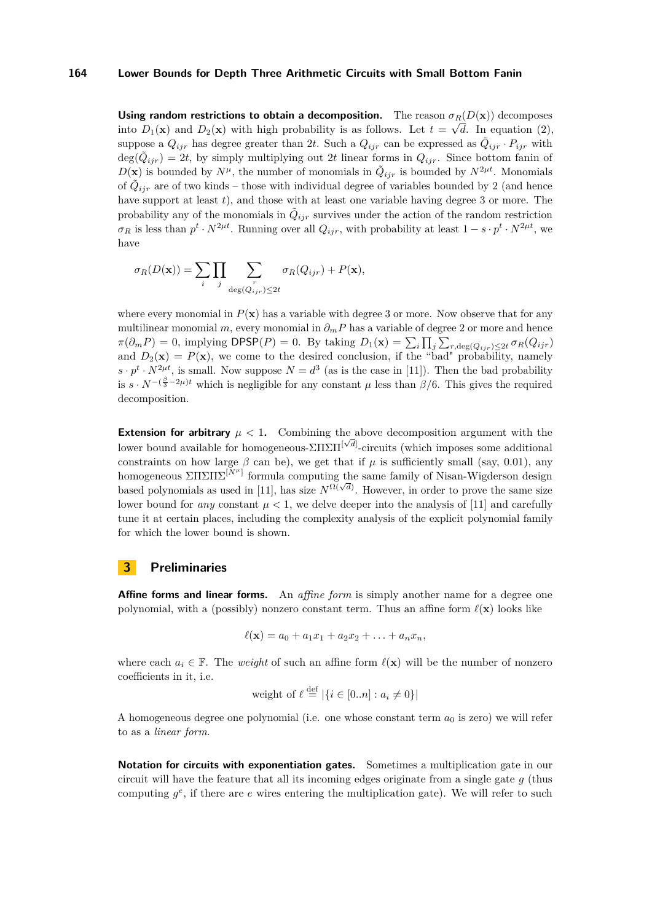**Using random restrictions to obtain a decomposition.** The reason  $\sigma_R(D(\mathbf{x}))$  decomposes into  $D_1(\mathbf{x})$  and  $D_2(\mathbf{x})$  with high probability is as follows. Let  $t = \sqrt{d}$ . In equation [\(2\)](#page-4-0), suppose a  $Q_{ijr}$  has degree greater than 2*t*. Such a  $Q_{ijr}$  can be expressed as  $\tilde{Q}_{ijr} \cdot P_{ijr}$  with  $deg(\tilde{Q}_{ijr}) = 2t$ , by simply multiplying out 2t linear forms in  $Q_{ijr}$ . Since bottom fanin of  $D(\mathbf{x})$  is bounded by  $N^{\mu}$ , the number of monomials in  $\tilde{Q}_{ijr}$  is bounded by  $N^{2\mu t}$ . Monomials of  $\tilde{Q}_{ijr}$  are of two kinds – those with individual degree of variables bounded by 2 (and hence have support at least *t*), and those with at least one variable having degree 3 or more. The probability any of the monomials in  $\tilde{Q}_{ijr}$  survives under the action of the random restriction  $\sigma_R$  is less than  $p^t \cdot N^{2\mu t}$ . Running over all  $Q_{ijr}$ , with probability at least  $1 - s \cdot p^t \cdot N^{2\mu t}$ , we have

$$
\sigma_R(D(\mathbf{x})) = \sum_i \prod_j \sum_{\deg(Q_{ijr}) \leq 2t} \sigma_R(Q_{ijr}) + P(\mathbf{x}),
$$

where every monomial in  $P(x)$  has a variable with degree 3 or more. Now observe that for any multilinear monomial *m*, every monomial in  $\partial_m P$  has a variable of degree 2 or more and hence  $\pi(\partial_m P) = 0$ , implying DPSP(*P*) = 0. By taking  $D_1(\mathbf{x}) = \sum_i \prod_j \sum_{r, \text{deg}(Q_{ijr}) \leq 2t} \sigma_R(Q_{ijr})$ and  $D_2(\mathbf{x}) = P(\mathbf{x})$ , we come to the desired conclusion, if the "bad" probability, namely  $s \cdot p^t \cdot N^{2\mu t}$ , is small. Now suppose  $N = d^3$  (as is the case in [\[11\]](#page-15-14)). Then the bad probability is  $s \cdot N^{-(\frac{\beta}{3}-2\mu)t}$  which is negligible for any constant  $\mu$  less than  $\beta/6$ . This gives the required decomposition.

**Extension for arbitrary**  $\mu < 1$ . Combining the above decomposition argument with the lower bound available for homogeneous- $\Sigma\Pi\Sigma\Pi^{[\sqrt{d}]}$ -circuits (which imposes some additional constraints on how large  $\beta$  can be), we get that if  $\mu$  is sufficiently small (say, 0.01), any homogeneous ΣΠΣΠΣ[*Nµ*] formula computing the same family of Nisan-Wigderson design based polynomials as used in [\[11\]](#page-15-14), has size  $N^{\Omega(\sqrt{d})}$ . However, in order to prove the same size lower bound for *any* constant  $\mu < 1$ , we delve deeper into the analysis of [\[11\]](#page-15-14) and carefully tune it at certain places, including the complexity analysis of the explicit polynomial family for which the lower bound is shown.

### **3 Preliminaries**

**Affine forms and linear forms.** An *affine form* is simply another name for a degree one polynomial, with a (possibly) nonzero constant term. Thus an affine form  $\ell(\mathbf{x})$  looks like

$$
\ell(\mathbf{x}) = a_0 + a_1 x_1 + a_2 x_2 + \ldots + a_n x_n,
$$

where each  $a_i \in \mathbb{F}$ . The *weight* of such an affine form  $\ell(\mathbf{x})$  will be the number of nonzero coefficients in it, i.e.

weight of 
$$
\ell \stackrel{\text{def}}{=} |\{i \in [0..n] : a_i \neq 0\}|
$$

A homogeneous degree one polynomial (i.e. one whose constant term  $a_0$  is zero) we will refer to as a *linear form*.

**Notation for circuits with exponentiation gates.** Sometimes a multiplication gate in our circuit will have the feature that all its incoming edges originate from a single gate *g* (thus computing  $g^e$ , if there are  $e$  wires entering the multiplication gate). We will refer to such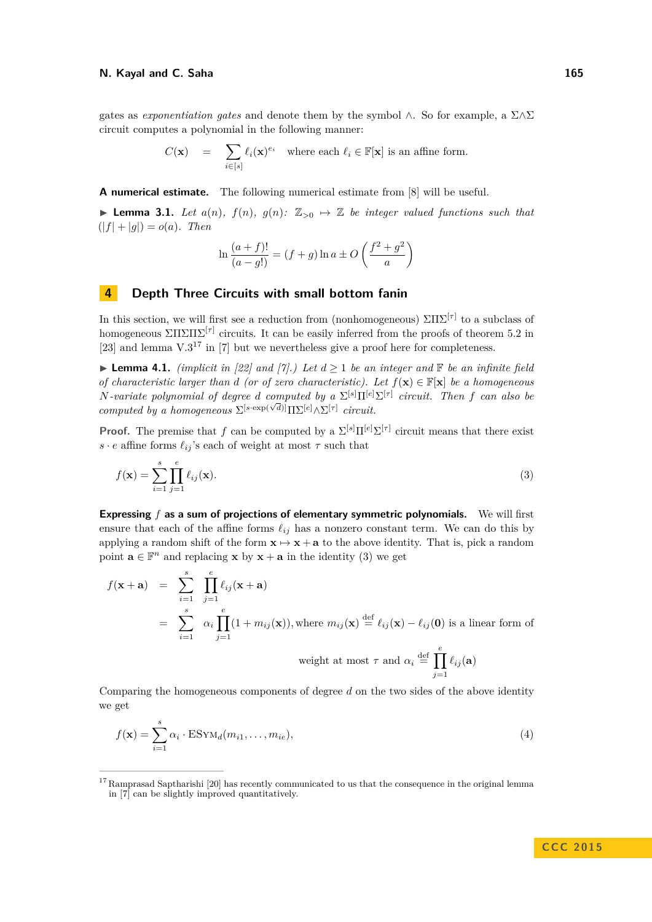gates as *exponentiation gates* and denote them by the symbol ∧. So for example, a Σ∧Σ circuit computes a polynomial in the following manner:

$$
C(\mathbf{x}) = \sum_{i \in [s]} \ell_i(\mathbf{x})^{e_i} \text{ where each } \ell_i \in \mathbb{F}[\mathbf{x}] \text{ is an affine form.}
$$

**A numerical estimate.** The following numerical estimate from [\[8\]](#page-15-11) will be useful.

<span id="page-7-5"></span>▶ **Lemma 3.1.** *Let*  $a(n)$ *,*  $f(n)$ *,*  $g(n)$ *:*  $\mathbb{Z}_{>0}$   $\mapsto \mathbb{Z}$  *be integer valued functions such that*  $(|f| + |q|) = o(a)$ . Then

<span id="page-7-3"></span>
$$
\ln\frac{(a+f)!}{(a-g!)} = (f+g)\ln a \pm O\left(\frac{f^2+g^2}{a}\right)
$$

### <span id="page-7-1"></span>**4 Depth Three Circuits with small bottom fanin**

In this section, we will first see a reduction from (nonhomogeneous)  $\Sigma\Pi\Sigma^{[\tau]}$  to a subclass of homogeneous  $\Sigma\Pi\Sigma\Pi\Sigma^{[\tau]}$  circuits. It can be easily inferred from the proofs of theorem 5.2 in [\[23\]](#page-15-16) and lemma  $V \cdot 3^{17}$  $V \cdot 3^{17}$  $V \cdot 3^{17}$  in [\[7\]](#page-15-3) but we nevertheless give a proof here for completeness.

<span id="page-7-0"></span>▶ **Lemma 4.1.** *(implicit in [\[22\]](#page-15-0)* and  $[7]$ *.)* Let  $d \ge 1$  be an integer and  $\mathbb{F}$  be an infinite field *of characteristic larger than d (or of zero characteristic). Let*  $f(\mathbf{x}) \in \mathbb{F}[\mathbf{x}]$  *be a homogeneous N-variate polynomial of degree d computed by a* Σ [*s*]Π[*e*]Σ [*τ*] *circuit. Then f can also be*  $\sum_{i}$  *computed by a homogeneous*  $\Sigma^{[s \cdot \exp(\sqrt{d})]} \Pi \Sigma^{[e]} \wedge \Sigma^{[\tau]}$  *circuit.* 

**Proof.** The premise that *f* can be computed by a  $\Sigma^{[s]} \Pi^{[e]} \Sigma^{[\tau]}$  circuit means that there exist *s* · *e* affine forms  $\ell_{ij}$ 's each of weight at most  $\tau$  such that

$$
f(\mathbf{x}) = \sum_{i=1}^{s} \prod_{j=1}^{e} \ell_{ij}(\mathbf{x}).
$$
\n(3)

**Expressing** *f* **as a sum of projections of elementary symmetric polynomials.** We will first ensure that each of the affine forms  $\ell_{ij}$  has a nonzero constant term. We can do this by applying a random shift of the form  $x \mapsto x + a$  to the above identity. That is, pick a random point  $\mathbf{a} \in \mathbb{F}^n$  and replacing **x** by  $\mathbf{x} + \mathbf{a}$  in the identity [\(3\)](#page-7-3) we get

$$
f(\mathbf{x} + \mathbf{a}) = \sum_{i=1}^{s} \prod_{j=1}^{e} \ell_{ij}(\mathbf{x} + \mathbf{a})
$$
  
= 
$$
\sum_{i=1}^{s} \alpha_i \prod_{j=1}^{e} (1 + m_{ij}(\mathbf{x})), \text{ where } m_{ij}(\mathbf{x}) \stackrel{\text{def}}{=} \ell_{ij}(\mathbf{x}) - \ell_{ij}(\mathbf{0}) \text{ is a linear form of}
$$
  
weight at most  $\tau$  and  $\alpha_i \stackrel{\text{def}}{=} \prod_{j=1}^{e} \ell_{ij}(\mathbf{a})$ 

Comparing the homogeneous components of degree *d* on the two sides of the above identity we get

<span id="page-7-4"></span>
$$
f(\mathbf{x}) = \sum_{i=1}^{s} \alpha_i \cdot \text{ESYM}_d(m_{i1}, \dots, m_{ie}),
$$
\n(4)

<span id="page-7-2"></span><sup>&</sup>lt;sup>17</sup> Ramprasad Saptharishi [\[20\]](#page-15-7) has recently communicated to us that the consequence in the original lemma in [\[7\]](#page-15-3) can be slightly improved quantitatively.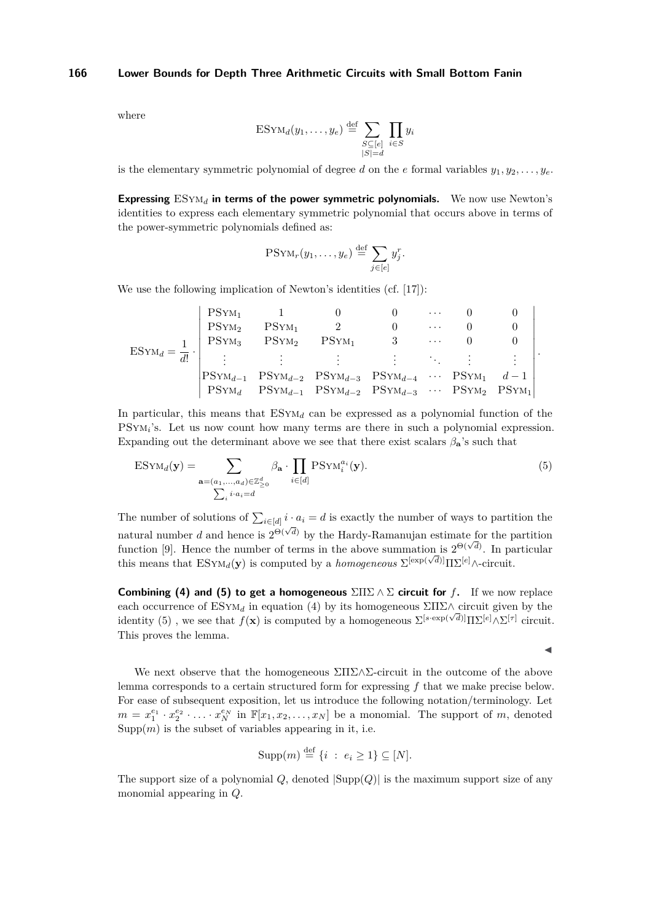where

$$
ESYM_d(y_1,\ldots,y_e) \stackrel{\text{def}}{=} \sum_{\substack{S \subseteq [e] \\ |S| = d}} \prod_{i \in S} y_i
$$

is the elementary symmetric polynomial of degree *d* on the *e* formal variables  $y_1, y_2, \ldots, y_e$ .

**Expressing** ESym*<sup>d</sup>* **in terms of the power symmetric polynomials.** We now use Newton's identities to express each elementary symmetric polynomial that occurs above in terms of the power-symmetric polynomials defined as:

$$
PSYM_r(y_1,\ldots,y_e)\stackrel{\text{def}}{=} \sum_{j\in[e]} y_j^r.
$$

We use the following implication of Newton's identities (cf. [\[17\]](#page-15-18)):

$$
\text{ESYM}_d = \frac{1}{d!} \cdot \left| \begin{array}{ccccc} \text{PSYM}_1 & 1 & 0 & 0 & \cdots & 0 & 0 \\ \text{PSYM}_2 & \text{PSYM}_1 & 2 & 0 & \cdots & 0 & 0 \\ \text{PSYM}_3 & \text{PSYM}_2 & \text{PSYM}_1 & 3 & \cdots & 0 & 0 \\ \vdots & \vdots & \vdots & \vdots & \ddots & \vdots & \vdots \\ \text{PSYM}_{d-1} & \text{PSYM}_{d-2} & \text{PSYM}_{d-3} & \text{PSYM}_{d-4} & \cdots & \text{PSYM}_1 & d-1 \\ \text{PSYM}_d & \text{PSYM}_{d-1} & \text{PSYM}_{d-2} & \text{PSYM}_{d-3} & \cdots & \text{PSYM}_2 & \text{PSYM}_1 \end{array} \right|.
$$

In particular, this means that  $ESYM_d$  can be expressed as a polynomial function of the PSYM<sub>i</sub>'s. Let us now count how many terms are there in such a polynomial expression. Expanding out the determinant above we see that there exist scalars  $\beta_{\mathbf{a}}$ 's such that

$$
ESYM_d(\mathbf{y}) = \sum_{\mathbf{a}=(a_1,\ldots,a_d)\in\mathbb{Z}_{\geq 0}^d} \beta_{\mathbf{a}} \cdot \prod_{i\in[d]} PSYM_i^{a_i}(\mathbf{y}).
$$
\n(5)\n
$$
\sum_i i \cdot a_i = d
$$

The number of solutions of  $\sum_{i \in [d]} i \cdot a_i = d$  is exactly the number of ways to partition the natural number *d* and hence is  $2^{\Theta(\sqrt{d})}$  by the Hardy-Ramanujan estimate for the partition function [\[9\]](#page-15-19). Hence the number of terms in the above summation is  $2^{\Theta(\sqrt{d})}$ . In particular this means that  $\text{ESYM}_d(\mathbf{y})$  is computed by a *homogeneous*  $\Sigma^{[\exp(\sqrt{d})]} \Pi \Sigma^{[e]} \wedge \text{-circuit}$ .

**Combining [\(4\)](#page-7-4)** and [\(5\)](#page-8-0) to get a homogeneous  $\Sigma\Pi\Sigma \wedge \Sigma$  circuit for *f*. If we now replace each occurrence of  $ESYM_d$  in equation [\(4\)](#page-7-4) by its homogeneous  $\Sigma\Pi\Sigma\wedge$  circuit given by the identity [\(5\)](#page-8-0), we see that  $f(\mathbf{x})$  is computed by a homogeneous  $\Sigma^{[s\text{-exp}(\sqrt{d})]} \Pi \Sigma^{[e]} \wedge \Sigma^{[\tau]}$  circuit. This proves the lemma.

<span id="page-8-0"></span> $\blacktriangleleft$ 

We next observe that the homogeneous  $\Sigma\Pi\Sigma\wedge\Sigma$ -circuit in the outcome of the above lemma corresponds to a certain structured form for expressing *f* that we make precise below. For ease of subsequent exposition, let us introduce the following notation/terminology. Let  $m = x_1^{e_1} \cdot x_2^{e_2} \cdot \ldots \cdot x_N^{e_N}$  in  $\mathbb{F}[x_1, x_2, \ldots, x_N]$  be a monomial. The support of *m*, denoted  $\text{Supp}(m)$  is the subset of variables appearing in it, i.e.

$$
Supp(m) \stackrel{\text{def}}{=} \{i \; : \; e_i \ge 1\} \subseteq [N].
$$

The support size of a polynomial *Q*, denoted |Supp(*Q*)| is the maximum support size of any monomial appearing in *Q*.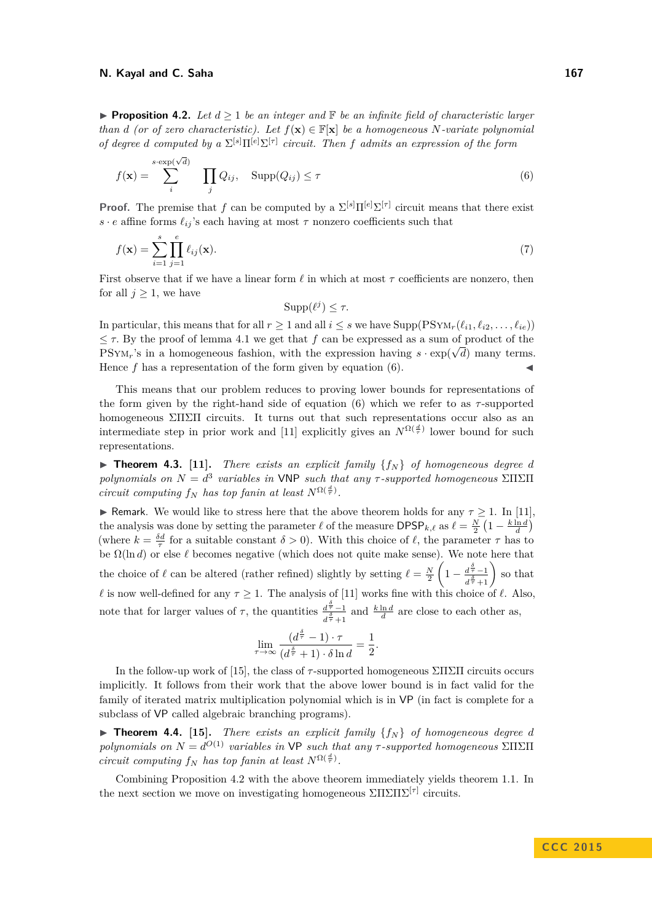<span id="page-9-1"></span>**Proposition 4.2.** Let  $d \geq 1$  be an integer and  $\mathbb{F}$  be an infinite field of characteristic larger *than d (or of zero characteristic). Let*  $f(\mathbf{x}) \in \mathbb{F}[\mathbf{x}]$  *be a homogeneous N-variate polynomial of degree d computed by a*  $\Sigma^{[s]}\Pi^{[e]}\Sigma^{[\tau]}$  *circuit. Then f admits an expression of the form* 

$$
f(\mathbf{x}) = \sum_{i}^{s \cdot \exp(\sqrt{d})} \prod_{j} Q_{ij}, \quad \text{Supp}(Q_{ij}) \le \tau
$$
 (6)

**Proof.** The premise that *f* can be computed by a  $\Sigma^{[s]} \Pi^{[e]} \Sigma^{[\tau]}$  circuit means that there exist  $s \cdot e$  affine forms  $\ell_{ij}$ 's each having at most  $\tau$  nonzero coefficients such that

$$
f(\mathbf{x}) = \sum_{i=1}^{s} \prod_{j=1}^{e} \ell_{ij}(\mathbf{x}).
$$
\n(7)

First observe that if we have a linear form  $\ell$  in which at most  $\tau$  coefficients are nonzero, then for all  $j \geq 1$ , we have

<span id="page-9-0"></span>
$$
Supp(\ell^j) \leq \tau.
$$

In particular, this means that for all  $r \geq 1$  and all  $i \leq s$  we have  $\text{Supp}(\text{PSYM}_{r}(\ell_{i1}, \ell_{i2}, \ldots, \ell_{ie}))$  $\leq \tau$ . By the proof of lemma [4.1](#page-7-0) we get that *f* can be expressed as a sum of product of the PSYM<sub>r</sub>'s in a homogeneous fashion, with the expression having  $s \cdot \exp(\sqrt{d})$  many terms. Hence  $f$  has a representation of the form given by equation  $(6)$ .

This means that our problem reduces to proving lower bounds for representations of the form given by the right-hand side of equation [\(6\)](#page-9-0) which we refer to as *τ* -supported homogeneous ΣΠΣΠ circuits. It turns out that such representations occur also as an intermediate step in prior work and [\[11\]](#page-15-14) explicitly gives an  $N^{\Omega(\frac{d}{\tau})}$  lower bound for such representations.

 $\triangleright$  **Theorem 4.3.** [\[11\]](#page-15-14). *There exists an explicit family*  $\{f_N\}$  *of homogeneous degree d polynomials on*  $N = d^3$  *variables in* VNP *such that any*  $\tau$ -*supported homogeneous* ΣΠΣΠ *circuit computing*  $f_N$  *has top fanin at least*  $N^{\Omega(\frac{d}{\tau})}$ .

**I** Remark. We would like to stress here that the above theorem holds for any  $\tau \geq 1$ . In [\[11\]](#page-15-14), the analysis was done by setting the parameter  $\ell$  of the measure DPSP<sub>*k*, $\ell$ </sub> as  $\ell = \frac{N}{2} \left(1 - \frac{k \ln d}{d}\right)$ (where  $k = \frac{\delta d}{\tau}$  for a suitable constant  $\delta > 0$ ). With this choice of  $\ell$ , the parameter  $\tau$  has to be  $\Omega(\ln d)$  or else  $\ell$  becomes negative (which does not quite make sense). We note here that the choice of  $\ell$  can be altered (rather refined) slightly by setting  $\ell = \frac{N}{2}$  $\left(1 - \frac{d^{\frac{\delta}{\tau}} - 1}{\delta}\right)$  $\frac{d^{\frac{\delta}{\tau}}-1}{d^{\frac{\delta}{\tau}}+1}$  so that *l* is now well-defined for any  $\tau \geq 1$ . The analysis of [\[11\]](#page-15-14) works fine with this choice of *l*. Also, note that for larger values of  $\tau$ , the quantities  $\frac{d^{\frac{\delta}{\tau}}-1}{\delta}$  $\frac{d\bar{\tau}-1}{d\bar{\hat{\sigma}}+1}$  and  $\frac{k \ln d}{d}$  are close to each other as,

$$
\lim_{\tau \to \infty} \frac{(d^{\frac{\delta}{\tau}} - 1) \cdot \tau}{(d^{\frac{\delta}{\tau}} + 1) \cdot \delta \ln d} = \frac{1}{2}.
$$

In the follow-up work of [\[15\]](#page-15-15), the class of *τ* -supported homogeneous ΣΠΣΠ circuits occurs implicitly. It follows from their work that the above lower bound is in fact valid for the family of iterated matrix multiplication polynomial which is in VP (in fact is complete for a subclass of VP called algebraic branching programs).

 $\triangleright$  **Theorem 4.4.** [\[15\]](#page-15-15). *There exists an explicit family*  $\{f_N\}$  *of homogeneous degree d polynomials on*  $N = d^{O(1)}$  *variables in* VP *such that any*  $\tau$ -*supported homogeneous*  $\Sigma\Pi\Sigma\Pi$ *circuit computing*  $f_N$  *has top fanin at least*  $N^{\Omega(\frac{d}{\tau})}$ *.* 

Combining Proposition [4.2](#page-9-1) with the above theorem immediately yields theorem [1.1.](#page-3-2) In the next section we move on investigating homogeneous  $\Sigma\Pi\Sigma\Pi\Sigma^{[\tau]}$  circuits.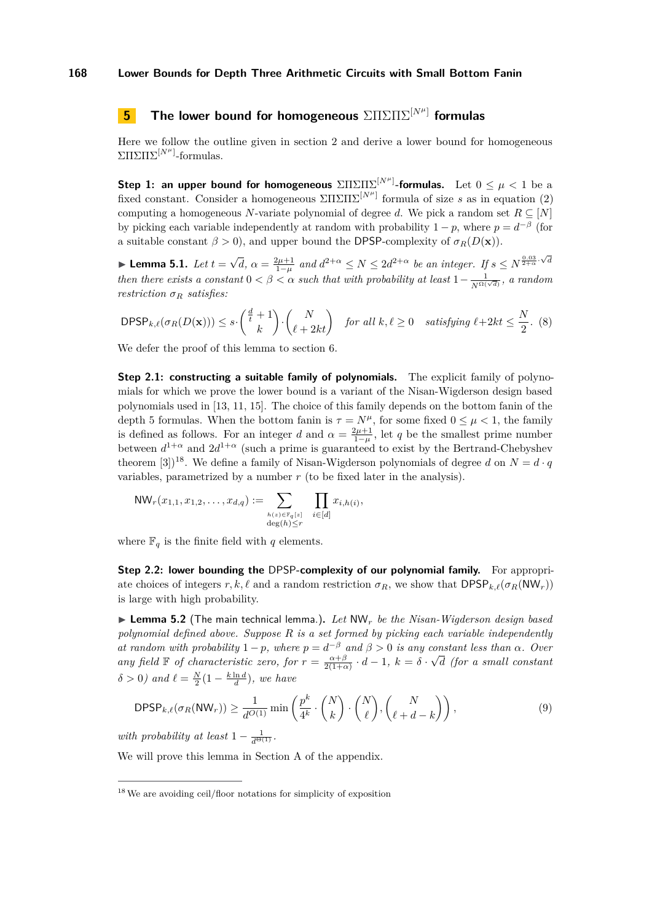# <span id="page-10-5"></span>**5 The lower bound for homogeneous** ΣΠΣΠΣ[*Nµ*] **formulas**

Here we follow the outline given in section [2](#page-4-1) and derive a lower bound for homogeneous ΣΠΣΠΣ<sup>[*N<sup>µ</sup>*]</sup>-formulas.

**Step 1: an upper bound for homogeneous**  $\Sigma\Pi\Sigma\Pi\Sigma^{[N^{\mu}]}$ -formulas. Let  $0\leq\mu<1$  be a fixed constant. Consider a homogeneous  $\Sigma\Pi\Sigma\Pi\Sigma^{[N^{\mu}]}$  formula of size *s* as in equation [\(2\)](#page-4-0) computing a homogeneous *N*-variate polynomial of degree *d*. We pick a random set  $R \subseteq [N]$ by picking each variable independently at random with probability  $1 - p$ , where  $p = d^{-\beta}$  (for a suitable constant  $\beta > 0$ ), and upper bound the DPSP-complexity of  $\sigma_R(D(\mathbf{x}))$ .

<span id="page-10-3"></span>**► Lemma 5.1.**  $Let t = \sqrt{ }$  $\overline{d}$ *,*  $\alpha = \frac{2\mu+1}{1-\mu}$  and  $d^{2+\alpha} \le N \le 2d^{2+\alpha}$  be an integer. If  $s \le N^{\frac{0.03}{2+\alpha} \cdot \sqrt{d}}$ *then there exists a constant*  $0 < \beta < \alpha$  *such that with probability at least*  $1 - \frac{1}{N^{\Omega(\sqrt{d})}}$ *, a random restriction σ<sup>R</sup> satisfies:*

<span id="page-10-1"></span>
$$
\mathsf{DPSP}_{k,\ell}(\sigma_R(D(\mathbf{x}))) \le s \cdot \binom{\frac{d}{t}+1}{k} \cdot \binom{N}{\ell+2kt} \quad \text{for all } k, \ell \ge 0 \quad \text{ satisfying } \ell+2kt \le \frac{N}{2}. \tag{8}
$$

We defer the proof of this lemma to section [6.](#page-11-0)

**Step 2.1: constructing a suitable family of polynomials.** The explicit family of polynomials for which we prove the lower bound is a variant of the Nisan-Wigderson design based polynomials used in [\[13,](#page-15-12) [11,](#page-15-14) [15\]](#page-15-15). The choice of this family depends on the bottom fanin of the depth 5 formulas. When the bottom fanin is  $\tau = N^{\mu}$ , for some fixed  $0 \leq \mu < 1$ , the family is defined as follows. For an integer *d* and  $\alpha = \frac{2\mu+1}{1-\mu}$ , let *q* be the smallest prime number between  $d^{1+\alpha}$  and  $2d^{1+\alpha}$  (such a prime is guaranteed to exist by the Bertrand-Chebyshev theorem [\[3\]](#page-14-3)<sup>[18](#page-10-0)</sup>. We define a family of Nisan-Wigderson polynomials of degree *d* on  $N = d \cdot q$ variables, parametrized by a number *r* (to be fixed later in the analysis).

$$
\text{NW}_r(x_{1,1}, x_{1,2}, \dots, x_{d,q}) := \sum_{\substack{h(z) \in \mathbb{F}_q[z] \\ \deg(h) \le r}} \prod_{i \in [d]} x_{i,h(i)},
$$

where  $\mathbb{F}_q$  is the finite field with  $q$  elements.

**Step 2.2: lower bounding the DPSP-complexity of our polynomial family.** For appropriate choices of integers  $r, k, \ell$  and a random restriction  $\sigma_R$ , we show that DPSP<sub>k, $\ell(\sigma_R(NW_r))$ </sub> is large with high probability.

<span id="page-10-4"></span> $\triangleright$  **Lemma 5.2** (The main technical lemma.). Let NW<sub>r</sub> be the Nisan-Wigderson design based *polynomial defined above. Suppose R is a set formed by picking each variable independently at random with probability*  $1 - p$ *, where*  $p = d^{-\beta}$  *and*  $\beta > 0$  *is any constant less than*  $\alpha$ *. Over any field*  $\mathbb F$  *of characteristic zero, for*  $r = \frac{\alpha + \beta}{2(1+\alpha)} \cdot d - 1$ ,  $k = \delta$ .  $\frac{1}{2}$ *d (for a small constant*  $\delta > 0$ *)* and  $\ell = \frac{N}{2}(1 - \frac{k \ln d}{d})$ *, we have* 

<span id="page-10-2"></span>
$$
\mathsf{DPSP}_{k,\ell}(\sigma_R(\mathsf{NW}_r)) \ge \frac{1}{d^{O(1)}} \min\left(\frac{p^k}{4^k} \cdot \binom{N}{k} \cdot \binom{N}{\ell}, \binom{N}{\ell+d-k}\right),\tag{9}
$$

*with probability at least*  $1 - \frac{1}{d^{\Theta(1)}}$ .

We will prove this lemma in Section [A](#page-15-20) of the appendix.

<span id="page-10-0"></span><sup>18</sup>We are avoiding ceil/floor notations for simplicity of exposition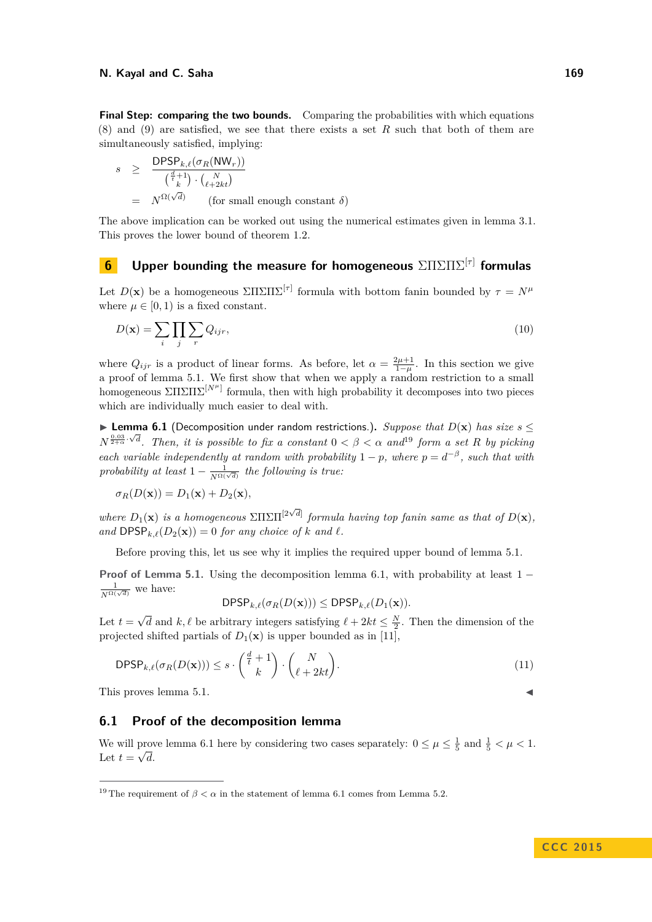**Final Step: comparing the two bounds.** Comparing the probabilities with which equations [\(8\)](#page-10-1) and [\(9\)](#page-10-2) are satisfied, we see that there exists a set *R* such that both of them are simultaneously satisfied, implying:

$$
s \geq \frac{\text{DPSP}_{k,\ell}(\sigma_R(\text{NW}_r))}{\binom{\frac{d}{t}+1}{k} \cdot \binom{N}{\ell+2kt}} = N^{\Omega(\sqrt{d})} \qquad \text{(for small enough constant } \delta)
$$

The above implication can be worked out using the numerical estimates given in lemma [3.1.](#page-7-5) This proves the lower bound of theorem [1.2.](#page-3-4)

# <span id="page-11-0"></span>**6 Upper bounding the measure for homogeneous** ΣΠΣΠΣ[*τ*] **formulas**

Let  $D(\mathbf{x})$  be a homogeneous  $\sum \Pi \sum \Pi \Sigma^{[\tau]}$  formula with bottom fanin bounded by  $\tau = N^{\mu}$ where  $\mu \in [0, 1)$  is a fixed constant.

<span id="page-11-3"></span>
$$
D(\mathbf{x}) = \sum_{i} \prod_{j} \sum_{r} Q_{ijr},\tag{10}
$$

where  $Q_{ijr}$  is a product of linear forms. As before, let  $\alpha = \frac{2\mu+1}{1-\mu}$ . In this section we give a proof of lemma [5.1.](#page-10-3) We first show that when we apply a random restriction to a small homogeneous  $\Sigma\Pi\Sigma\Pi\Sigma^{[N^{\mu}]}$  formula, then with high probability it decomposes into two pieces which are individually much easier to deal with.

<span id="page-11-2"></span>**► Lemma 6.1** (Decomposition under random restrictions.). *Suppose that*  $D(x)$  *has size*  $s$  <  $N^{\frac{0.03}{2+\alpha} \cdot \sqrt{d}}$ . Then, it is possible to fix a constant  $0 < \beta < \alpha$  and<sup>[19](#page-11-1)</sup> form a set *R* by picking *each variable independently at random with probability*  $1 - p$ *, where*  $p = d^{-\beta}$ *, such that with probability at least*  $1 - \frac{1}{N^{\Omega(\sqrt{d})}}$  *the following is true:* 

$$
\sigma_R(D(\mathbf{x})) = D_1(\mathbf{x}) + D_2(\mathbf{x}),
$$

*where*  $D_1(\mathbf{x})$  *is a homogeneous*  $\sum \prod \sum \prod^{[2\sqrt{d}]}$  *formula having top fanin same as that of*  $D(\mathbf{x})$ *, and*  $DPSP_{k,\ell}(D_2(\mathbf{x})) = 0$  *for any choice of k and*  $\ell$ .

Before proving this, let us see why it implies the required upper bound of lemma [5.1.](#page-10-3)

**Proof of Lemma [5.1.](#page-10-3)** Using the decomposition lemma [6.1,](#page-11-2) with probability at least 1 −  $\frac{1}{N^{\Omega(\sqrt{d})}}$  we have:

 $\mathsf{DPSP}_{k,\ell}(\sigma_R(D(\mathbf{x}))) \leq \mathsf{DPSP}_{k,\ell}(D_1(\mathbf{x})).$ 

Let  $t =$ √  $\overline{d}$  and  $k, \ell$  be arbitrary integers satisfying  $\ell + 2kt \leq \frac{N}{2}$ . Then the dimension of the projected shifted partials of  $D_1(\mathbf{x})$  is upper bounded as in [\[11\]](#page-15-14),

$$
\mathsf{DPSP}_{k,\ell}(\sigma_R(D(\mathbf{x}))) \leq s \cdot \binom{\frac{d}{t} + 1}{k} \cdot \binom{N}{\ell + 2kt}.\tag{11}
$$

This proves lemma  $5.1$ .

### **6.1 Proof of the decomposition lemma**

We will prove lemma [6.1](#page-11-2) here by considering two cases separately:  $0 \leq \mu \leq \frac{1}{5}$  and  $\frac{1}{5} < \mu < 1$ . Let  $t = \sqrt{d}$ .

$$
\blacksquare
$$

<span id="page-11-1"></span><sup>&</sup>lt;sup>19</sup> The requirement of  $\beta < \alpha$  in the statement of lemma [6.1](#page-11-2) comes from Lemma [5.2.](#page-10-4)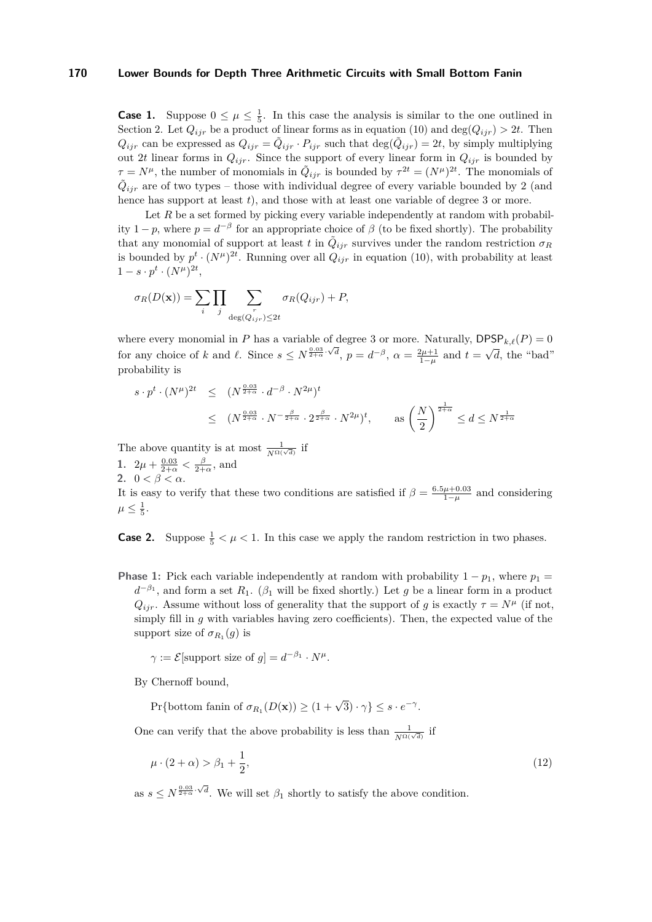**Case 1.** Suppose  $0 \leq \mu \leq \frac{1}{5}$ . In this case the analysis is similar to the one outlined in Section [2.](#page-4-1) Let  $Q_{ijr}$  be a product of linear forms as in equation [\(10\)](#page-11-3) and deg( $Q_{ijr}$ )  $> 2t$ . Then  $Q_{ijr}$  can be expressed as  $Q_{ijr} = \tilde{Q}_{ijr} \cdot P_{ijr}$  such that  $\deg(\tilde{Q}_{ijr}) = 2t$ , by simply multiplying out 2*t* linear forms in  $Q_{ijr}$ . Since the support of every linear form in  $Q_{ijr}$  is bounded by  $\tau = N^{\mu}$ , the number of monomials in  $\tilde{Q}_{ijr}$  is bounded by  $\tau^{2t} = (N^{\mu})^{2t}$ . The monomials of  $\tilde{Q}_{ijr}$  are of two types – those with individual degree of every variable bounded by 2 (and hence has support at least  $t$ ), and those with at least one variable of degree 3 or more.

Let R be a set formed by picking every variable independently at random with probability  $1 - p$ , where  $p = d^{-\beta}$  for an appropriate choice of  $\beta$  (to be fixed shortly). The probability that any monomial of support at least *t* in  $\tilde{Q}_{ijr}$  survives under the random restriction  $\sigma_R$ is bounded by  $p^t \cdot (N^{\mu})^{2t}$ . Running over all  $Q_{ijr}$  in equation [\(10\)](#page-11-3), with probability at least  $1 - s \cdot p^t \cdot (N^\mu)^{2t},$ 

$$
\sigma_R(D(\mathbf{x})) = \sum_i \prod_j \sum_{\substack{r \\ \deg(Q_{ijr}) \leq 2t}} \sigma_R(Q_{ijr}) + P,
$$

where every monomial in *P* has a variable of degree 3 or more. Naturally,  $\text{DPSP}_{k,\ell}(P) = 0$ for any choice of *k* and *l*. Since  $s \le N^{\frac{0.03}{2+\alpha} \cdot \sqrt{d}}$ ,  $p = d^{-\beta}$ ,  $\alpha = \frac{2\mu + 1}{1-\mu}$  and  $t =$ √ *d*, the "bad" probability is

$$
s \cdot p^t \cdot (N^{\mu})^{2t} \leq (N^{\frac{0.03}{2+\alpha}} \cdot d^{-\beta} \cdot N^{2\mu})^t
$$
  
 
$$
\leq (N^{\frac{0.03}{2+\alpha}} \cdot N^{-\frac{\beta}{2+\alpha}} \cdot 2^{\frac{\beta}{2+\alpha}} \cdot N^{2\mu})^t, \quad \text{as } \left(\frac{N}{2}\right)^{\frac{1}{2+\alpha}} \leq d \leq N^{\frac{1}{2+\alpha}}
$$

The above quantity is at most  $\frac{1}{N^{\Omega(\sqrt{d})}}$  if

**1.**  $2\mu + \frac{0.03}{2+\alpha} < \frac{\beta}{2+\alpha}$ , and

**2.**  $0 < \beta < \alpha$ .

It is easy to verify that these two conditions are satisfied if  $\beta = \frac{6.5\mu + 0.03}{1-\mu}$  and considering  $\mu \leq \frac{1}{5}$ .

**Case 2.** Suppose  $\frac{1}{5} < \mu < 1$ . In this case we apply the random restriction in two phases.

**Phase 1:** Pick each variable independently at random with probability  $1 - p_1$ , where  $p_1 =$  $d^{-\beta_1}$ , and form a set  $R_1$ . ( $\beta_1$  will be fixed shortly.) Let *g* be a linear form in a product  $Q_{ijr}$ . Assume without loss of generality that the support of *g* is exactly  $\tau = N^{\mu}$  (if not, simply fill in *g* with variables having zero coefficients). Then, the expected value of the support size of  $\sigma_{R_1}(g)$  is

 $\gamma := \mathcal{E}[\text{support size of } g] = d^{-\beta_1} \cdot N^{\mu}.$ 

By Chernoff bound,

<span id="page-12-0"></span> $\Pr{\text{bottom fanin of } \sigma_{R_1}(D(\mathbf{x})) \ge (1 + \sqrt{3}) \cdot \gamma} \le s \cdot e^{-\gamma}.$ 

One can verify that the above probability is less than  $\frac{1}{N^{\Omega(\sqrt{d})}}$  if

$$
\mu \cdot (2+\alpha) > \beta_1 + \frac{1}{2},\tag{12}
$$

as  $s \leq N^{\frac{0.03}{2+\alpha} \cdot \sqrt{d}}$ . We will set  $\beta_1$  shortly to satisfy the above condition.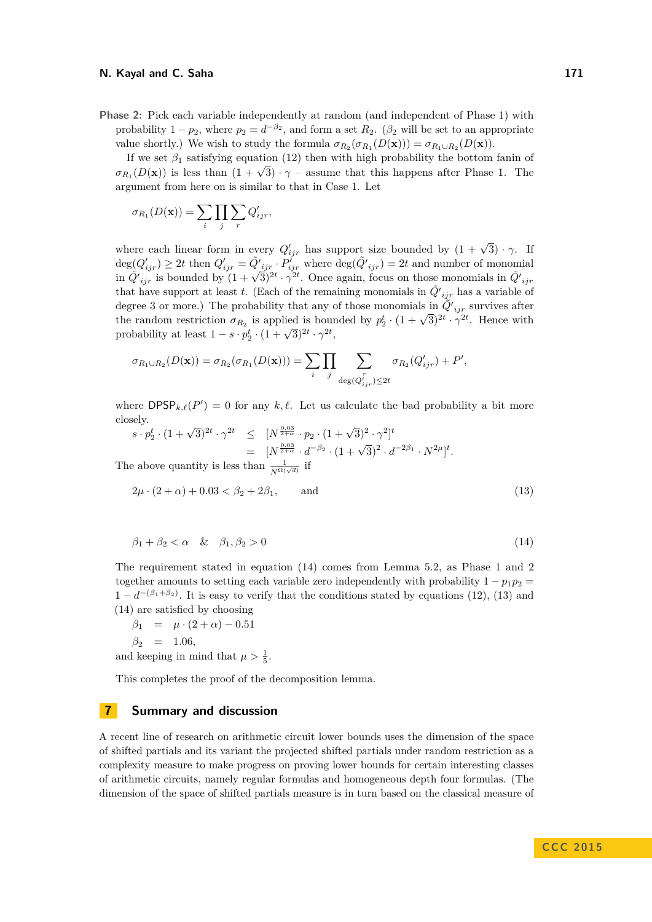**Phase 2:** Pick each variable independently at random (and independent of Phase 1) with probability  $1 - p_2$ , where  $p_2 = d^{-\beta_2}$ , and form a set  $R_2$ . ( $\beta_2$  will be set to an appropriate value shortly.) We wish to study the formula  $\sigma_{R_2}(\sigma_{R_1}(D(\mathbf{x}))) = \sigma_{R_1 \cup R_2}(D(\mathbf{x}))$ .

If we set  $\beta_1$  satisfying equation [\(12\)](#page-12-0) then with high probability the bottom fanin of *σ*<sub>*R*<sub>1</sub></sub>(*D*(**x**)) is less than  $(1 + \sqrt{3}) \cdot \gamma$  – assume that this happens after Phase 1. The argument from here on is similar to that in Case 1. Let

$$
\sigma_{R_1}(D(\mathbf{x})) = \sum_i \prod_j \sum_r Q'_{ijr},
$$

where each linear form in every  $Q'_{ijr}$  has support size bounded by  $(1 + \sqrt{3}) \cdot \gamma$ . If  $deg(Q'_{ijr}) \geq 2t$  then  $Q'_{ijr} = \tilde{Q'}_{ijr} \cdot P'_{ijr}$  where  $deg(\tilde{Q'}_{ijr}) = 2t$  and number of monomial  $\frac{d}{d}V_{ijr} = \frac{d}{dt} \lim_{j \to \infty} \frac{d}{dt} \left(1 + \frac{d}{dt}\right)^{2t} \cdot \gamma^{2t}$ . Once again, focus on those monomials in  $\tilde{Q'}_{ijr}$  is bounded by  $(1 + \sqrt{3})^{2t} \cdot \gamma^{2t}$ . Once again, focus on those monomials in  $\tilde{Q'}_{ijr}$ that have support at least *t*. (Each of the remaining monomials in  $\tilde{Q'}_{ijr}$  has a variable of degree 3 or more.) The probability that any of those monomials in  $\tilde{Q'}_{ijr}$  survives after degree 3 or more.) The probability that any or those monomials in  $Q_{ijr}$  survives after the random restriction  $\sigma_{R_2}$  is applied is bounded by  $p_2^t \cdot (1 + \sqrt{3})^{2t} \cdot \gamma^{2t}$ . Hence with probability at least  $1 - s \cdot p_2^t \cdot (1 + \sqrt{3})^{2t} \cdot \gamma^{2t}$ ,

$$
\sigma_{R_1 \cup R_2}(D(\mathbf{x})) = \sigma_{R_2}(\sigma_{R_1}(D(\mathbf{x}))) = \sum_i \prod_j \sum_{\substack{r \\ \deg(Q'_{ijr}) \leq 2t}} \sigma_{R_2}(Q'_{ijr}) + P',
$$

where  $\text{DPSP}_{k,\ell}(P') = 0$  for any  $k, \ell$ . Let us calculate the bad probability a bit more closely.

$$
s \cdot p_2^t \cdot (1+\sqrt{3})^{2t} \cdot \gamma^{2t} \leq [N^{\frac{0.03}{2+\alpha}} \cdot p_2 \cdot (1+\sqrt{3})^2 \cdot \gamma^2]^t
$$
  
=  $[N^{\frac{0.03}{2+\alpha}} \cdot d^{-\beta_2} \cdot (1+\sqrt{3})^2 \cdot d^{-2\beta_1} \cdot N^{2\mu}]^t$ .  
the above quantity is less than  $\frac{1}{\sqrt{3+\alpha}}$  if

The above quantity is less than  $\frac{1}{N^{\Omega(\sqrt{d})}}$  if

<span id="page-13-1"></span><span id="page-13-0"></span>
$$
2\mu \cdot (2+\alpha) + 0.03 < \beta_2 + 2\beta_1, \qquad \text{and} \tag{13}
$$

$$
\beta_1 + \beta_2 < \alpha \quad \& \quad \beta_1, \beta_2 > 0 \tag{14}
$$

The requirement stated in equation [\(14\)](#page-13-0) comes from Lemma [5.2,](#page-10-4) as Phase 1 and 2 together amounts to setting each variable zero independently with probability  $1 - p_1 p_2 =$  $1 - d^{-(\beta_1 + \beta_2)}$ . It is easy to verify that the conditions stated by equations [\(12\)](#page-12-0), [\(13\)](#page-13-1) and [\(14\)](#page-13-0) are satisfied by choosing

$$
\beta_1 = \mu \cdot (2 + \alpha) - 0.51
$$
  
\n
$$
\beta_2 = 1.06,
$$
  
\nand keeping in mind that  $\mu > \frac{1}{5}$ .

This completes the proof of the decomposition lemma.

### **7 Summary and discussion**

A recent line of research on arithmetic circuit lower bounds uses the dimension of the space of shifted partials and its variant the projected shifted partials under random restriction as a complexity measure to make progress on proving lower bounds for certain interesting classes of arithmetic circuits, namely regular formulas and homogeneous depth four formulas. (The dimension of the space of shifted partials measure is in turn based on the classical measure of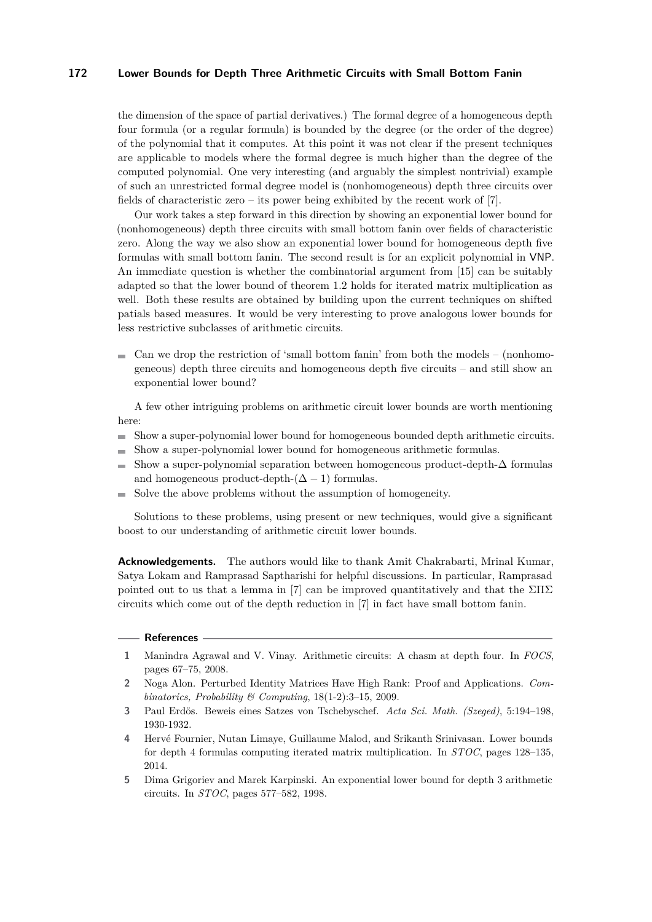the dimension of the space of partial derivatives.) The formal degree of a homogeneous depth four formula (or a regular formula) is bounded by the degree (or the order of the degree) of the polynomial that it computes. At this point it was not clear if the present techniques are applicable to models where the formal degree is much higher than the degree of the computed polynomial. One very interesting (and arguably the simplest nontrivial) example of such an unrestricted formal degree model is (nonhomogeneous) depth three circuits over fields of characteristic zero – its power being exhibited by the recent work of [\[7\]](#page-15-3).

Our work takes a step forward in this direction by showing an exponential lower bound for (nonhomogeneous) depth three circuits with small bottom fanin over fields of characteristic zero. Along the way we also show an exponential lower bound for homogeneous depth five formulas with small bottom fanin. The second result is for an explicit polynomial in VNP. An immediate question is whether the combinatorial argument from [\[15\]](#page-15-15) can be suitably adapted so that the lower bound of theorem [1.2](#page-3-4) holds for iterated matrix multiplication as well. Both these results are obtained by building upon the current techniques on shifted patials based measures. It would be very interesting to prove analogous lower bounds for less restrictive subclasses of arithmetic circuits.

 $\blacksquare$  Can we drop the restriction of 'small bottom fanin' from both the models – (nonhomogeneous) depth three circuits and homogeneous depth five circuits – and still show an exponential lower bound?

A few other intriguing problems on arithmetic circuit lower bounds are worth mentioning here:

- Show a super-polynomial lower bound for homogeneous bounded depth arithmetic circuits.  $\blacksquare$
- Show a super-polynomial lower bound for homogeneous arithmetic formulas.  $\overline{\phantom{a}}$
- Show a super-polynomial separation between homogeneous product-depth- $\Delta$  formulas  $\mathcal{L}_{\mathcal{A}}$ and homogeneous product-depth- $(\Delta - 1)$  formulas.
- Solve the above problems without the assumption of homogeneity.  $\equiv$

Solutions to these problems, using present or new techniques, would give a significant boost to our understanding of arithmetic circuit lower bounds.

**Acknowledgements.** The authors would like to thank Amit Chakrabarti, Mrinal Kumar, Satya Lokam and Ramprasad Saptharishi for helpful discussions. In particular, Ramprasad pointed out to us that a lemma in [\[7\]](#page-15-3) can be improved quantitatively and that the  $\Sigma\Pi\Sigma$ circuits which come out of the depth reduction in [\[7\]](#page-15-3) in fact have small bottom fanin.

#### **References**

- <span id="page-14-1"></span>**1** Manindra Agrawal and V. Vinay. Arithmetic circuits: A chasm at depth four. In *FOCS*, pages 67–75, 2008.
- <span id="page-14-4"></span>**2** Noga Alon. Perturbed Identity Matrices Have High Rank: Proof and Applications. *Combinatorics, Probability & Computing*, 18(1-2):3–15, 2009.
- <span id="page-14-3"></span>**3** Paul Erdös. Beweis eines Satzes von Tschebyschef. *Acta Sci. Math. (Szeged)*, 5:194–198, 1930-1932.
- <span id="page-14-2"></span>**4** Hervé Fournier, Nutan Limaye, Guillaume Malod, and Srikanth Srinivasan. Lower bounds for depth 4 formulas computing iterated matrix multiplication. In *STOC*, pages 128–135, 2014.
- <span id="page-14-0"></span>**5** Dima Grigoriev and Marek Karpinski. An exponential lower bound for depth 3 arithmetic circuits. In *STOC*, pages 577–582, 1998.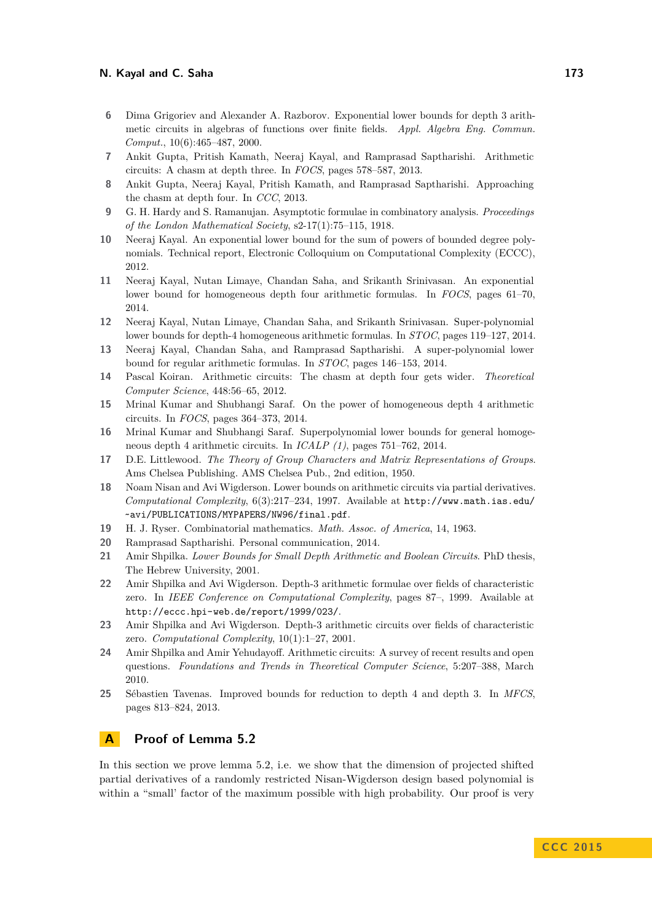- <span id="page-15-5"></span>**6** Dima Grigoriev and Alexander A. Razborov. Exponential lower bounds for depth 3 arithmetic circuits in algebras of functions over finite fields. *Appl. Algebra Eng. Commun. Comput.*, 10(6):465–487, 2000.
- <span id="page-15-3"></span>**7** Ankit Gupta, Pritish Kamath, Neeraj Kayal, and Ramprasad Saptharishi. Arithmetic circuits: A chasm at depth three. In *FOCS*, pages 578–587, 2013.
- <span id="page-15-11"></span>**8** Ankit Gupta, Neeraj Kayal, Pritish Kamath, and Ramprasad Saptharishi. Approaching the chasm at depth four. In *CCC*, 2013.
- <span id="page-15-19"></span>**9** G. H. Hardy and S. Ramanujan. Asymptotic formulae in combinatory analysis. *Proceedings of the London Mathematical Society*, s2-17(1):75–115, 1918.
- <span id="page-15-10"></span>**10** Neeraj Kayal. An exponential lower bound for the sum of powers of bounded degree polynomials. Technical report, Electronic Colloquium on Computational Complexity (ECCC), 2012.
- <span id="page-15-14"></span>**11** Neeraj Kayal, Nutan Limaye, Chandan Saha, and Srikanth Srinivasan. An exponential lower bound for homogeneous depth four arithmetic formulas. In *FOCS*, pages 61–70, 2014.
- <span id="page-15-13"></span>**12** Neeraj Kayal, Nutan Limaye, Chandan Saha, and Srikanth Srinivasan. Super-polynomial lower bounds for depth-4 homogeneous arithmetic formulas. In *STOC*, pages 119–127, 2014.
- <span id="page-15-12"></span>**13** Neeraj Kayal, Chandan Saha, and Ramprasad Saptharishi. A super-polynomial lower bound for regular arithmetic formulas. In *STOC*, pages 146–153, 2014.
- <span id="page-15-9"></span>**14** Pascal Koiran. Arithmetic circuits: The chasm at depth four gets wider. *Theoretical Computer Science*, 448:56–65, 2012.
- <span id="page-15-15"></span>**15** Mrinal Kumar and Shubhangi Saraf. On the power of homogeneous depth 4 arithmetic circuits. In *FOCS*, pages 364–373, 2014.
- <span id="page-15-17"></span>**16** Mrinal Kumar and Shubhangi Saraf. Superpolynomial lower bounds for general homogeneous depth 4 arithmetic circuits. In *ICALP (1)*, pages 751–762, 2014.
- <span id="page-15-18"></span>**17** D.E. Littlewood. *The Theory of Group Characters and Matrix Representations of Groups*. Ams Chelsea Publishing. AMS Chelsea Pub., 2nd edition, 1950.
- <span id="page-15-1"></span>**18** Noam Nisan and Avi Wigderson. Lower bounds on arithmetic circuits via partial derivatives. *Computational Complexity*, 6(3):217–234, 1997. Available at [http://www.math.ias.edu/](http://www.math.ias.edu/~avi/PUBLICATIONS/MYPAPERS/NW96/final.pdf) [~avi/PUBLICATIONS/MYPAPERS/NW96/final.pdf](http://www.math.ias.edu/~avi/PUBLICATIONS/MYPAPERS/NW96/final.pdf).
- <span id="page-15-2"></span>**19** H. J. Ryser. Combinatorial mathematics. *Math. Assoc. of America*, 14, 1963.
- <span id="page-15-7"></span>**20** Ramprasad Saptharishi. Personal communication, 2014.
- <span id="page-15-6"></span>**21** Amir Shpilka. *Lower Bounds for Small Depth Arithmetic and Boolean Circuits*. PhD thesis, The Hebrew University, 2001.
- <span id="page-15-0"></span>**22** Amir Shpilka and Avi Wigderson. Depth-3 arithmetic formulae over fields of characteristic zero. In *IEEE Conference on Computational Complexity*, pages 87–, 1999. Available at <http://eccc.hpi-web.de/report/1999/023/>.
- <span id="page-15-16"></span>**23** Amir Shpilka and Avi Wigderson. Depth-3 arithmetic circuits over fields of characteristic zero. *Computational Complexity*, 10(1):1–27, 2001.
- <span id="page-15-4"></span>**24** Amir Shpilka and Amir Yehudayoff. Arithmetic circuits: A survey of recent results and open questions. *Foundations and Trends in Theoretical Computer Science*, 5:207–388, March 2010.
- <span id="page-15-8"></span>**25** Sébastien Tavenas. Improved bounds for reduction to depth 4 and depth 3. In *MFCS*, pages 813–824, 2013.

# <span id="page-15-20"></span>**A Proof of Lemma [5.2](#page-10-4)**

In this section we prove lemma [5.2,](#page-10-4) i.e. we show that the dimension of projected shifted partial derivatives of a randomly restricted Nisan-Wigderson design based polynomial is within a "small' factor of the maximum possible with high probability. Our proof is very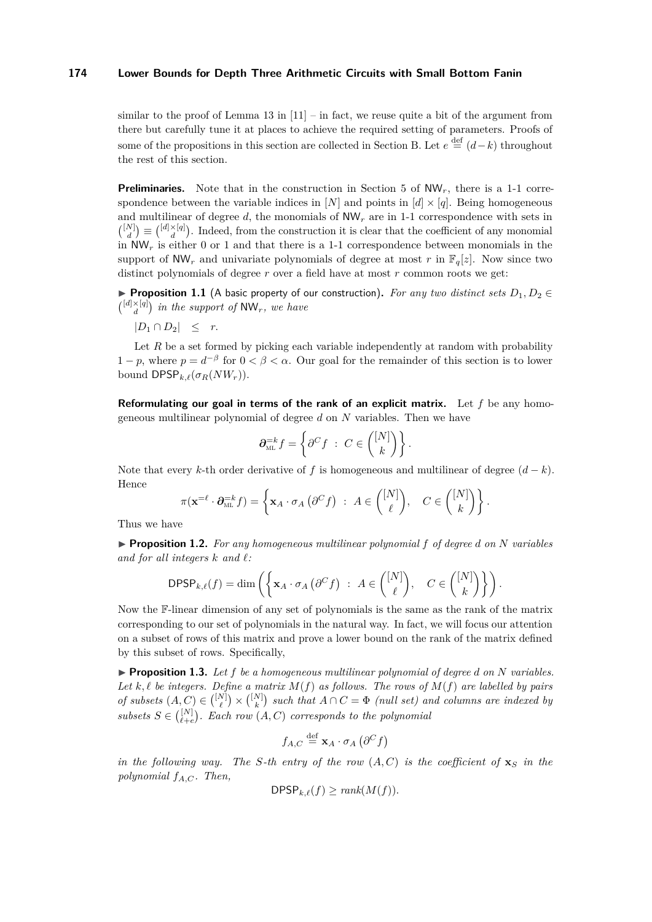similar to the proof of Lemma 13 in  $[11]$  – in fact, we reuse quite a bit of the argument from there but carefully tune it at places to achieve the required setting of parameters. Proofs of some of the propositions in this section are collected in Section [B.](#page-23-0) Let  $e \stackrel{\text{def}}{=} (d-k)$  throughout the rest of this section.

**Preliminaries.** Note that in the construction in Section [5](#page-10-5) of NW<sub>r</sub>, there is a 1-1 correspondence between the variable indices in [*N*] and points in  $[d] \times [q]$ . Being homogeneous and multilinear of degree  $d$ , the monomials of  $NW<sub>r</sub>$  are in 1-1 correspondence with sets in  $\binom{[N]}{d} \equiv \binom{[d] \times [q]}{d}$ . Indeed, from the construction it is clear that the coefficient of any monomial in  $NW_r$  is either 0 or 1 and that there is a 1-1 correspondence between monomials in the support of  $NW_r$  and univariate polynomials of degree at most r in  $\mathbb{F}_q[z]$ . Now since two distinct polynomials of degree *r* over a field have at most *r* common roots we get:

**Proposition 1.1** (A basic property of our construction). For any two distinct sets  $D_1, D_2 \in$  $\left(\begin{matrix} [d] \times [q] \\ d \end{matrix}\right)$  in the support of  $\text{NW}_r$ , we have

 $|D_1 \cap D_2| \leq r$ .

Let *R* be a set formed by picking each variable independently at random with probability  $1 - p$ , where  $p = d^{-\beta}$  for  $0 < \beta < \alpha$ . Our goal for the remainder of this section is to lower bound  $\mathsf{DPSP}_{k,\ell}(\sigma_R(NW_r)).$ 

**Reformulating our goal in terms of the rank of an explicit matrix.** Let *f* be any homogeneous multilinear polynomial of degree *d* on *N* variables. Then we have

$$
\partial_{\scriptscriptstyle\mathrm{ML}}^{-k}f=\left\{\partial^C f\ :\ C\in\binom{[N]}{k}\right\}.
$$

Note that every *k*-th order derivative of *f* is homogeneous and multilinear of degree  $(d-k)$ . Hence

$$
\pi(\mathbf{x}=\ell \cdot \partial_{\mathrm{ML}}^{-k} f) = \left\{ \mathbf{x}_A \cdot \sigma_A \left( \partial^C f \right) : A \in \binom{[N]}{\ell}, \quad C \in \binom{[N]}{k} \right\}.
$$

Thus we have

I **Proposition 1.2.** *For any homogeneous multilinear polynomial f of degree d on N variables* and for all integers  $k$  and  $\ell$ :

$$
\mathsf{DPSP}_{k,\ell}(f) = \dim \left( \left\{ \mathbf{x}_A \cdot \sigma_A \left( \partial^C f \right) \ : \ A \in \binom{[N]}{\ell}, \quad C \in \binom{[N]}{k} \right\} \right).
$$

Now the F-linear dimension of any set of polynomials is the same as the rank of the matrix corresponding to our set of polynomials in the natural way. In fact, we will focus our attention on a subset of rows of this matrix and prove a lower bound on the rank of the matrix defined by this subset of rows. Specifically,

 $\blacktriangleright$  **Proposition 1.3.** Let f be a homogeneous multilinear polynomial of degree *d* on *N* variables. Let  $k, \ell$  be integers. Define a matrix  $M(f)$  as follows. The rows of  $M(f)$  are labelled by pairs *of subsets*  $(A, C) \in \binom{[N]}{\ell} \times \binom{[N]}{k}$  such that  $A \cap C = \Phi$  *(null set) and columns are indexed by*  $subsets\ S\in\binom{[N]}{\ell+e}$ *.* Each row  $(A,C)$  corresponds to the polynomial

$$
f_{A,C} \stackrel{\text{def}}{=} \mathbf{x}_A \cdot \sigma_A \left( \partial^C f \right)
$$

*in the following way. The S-th entry of the row*  $(A, C)$  *is the coefficient of*  $\mathbf{x}_S$  *in the polynomial fA,C . Then,*

$$
\mathsf{DPSP}_{k,\ell}(f) \ge \text{rank}(M(f)).
$$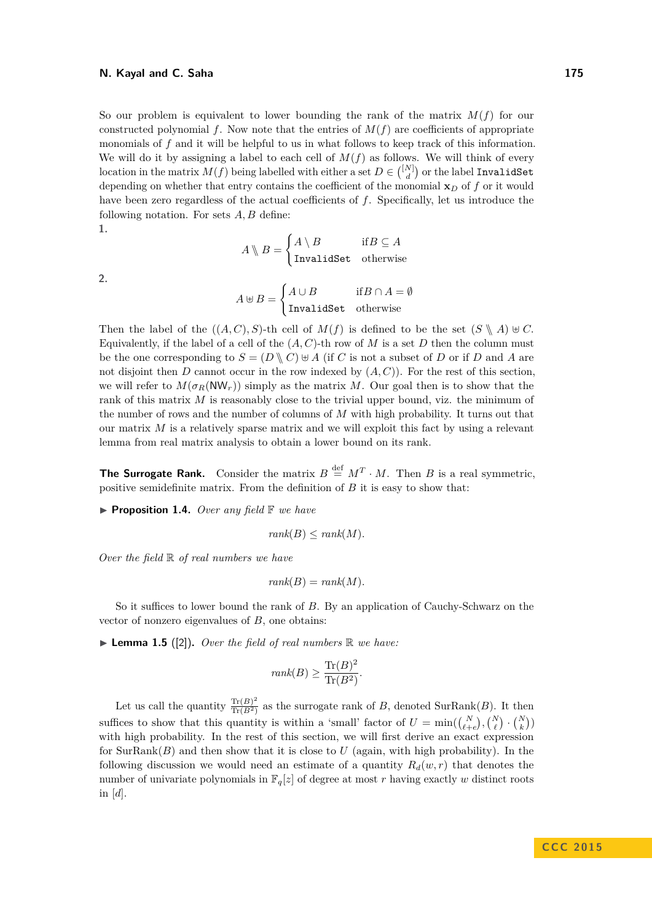So our problem is equivalent to lower bounding the rank of the matrix  $M(f)$  for our constructed polynomial  $f$ . Now note that the entries of  $M(f)$  are coefficients of appropriate monomials of *f* and it will be helpful to us in what follows to keep track of this information. We will do it by assigning a label to each cell of  $M(f)$  as follows. We will think of every  $\text{location in the matrix } M(f) \text{ being labelled with either a set } D \in \binom{[N]}{d} \text{ or the label \textbf{InvalidSet}}$ depending on whether that entry contains the coefficient of the monomial  $\mathbf{x}_D$  of f or it would have been zero regardless of the actual coefficients of *f*. Specifically, let us introduce the following notation. For sets *A, B* define:

$$
1,
$$

 $A \setminus B =$  $\int A \setminus B$  if  $B \subseteq A$ InvalidSet otherwise

**2.**

$$
A \uplus B = \begin{cases} A \cup B & \text{if } B \cap A = \emptyset \\ \text{InvalidSet} & \text{otherwise} \end{cases}
$$

Then the label of the  $((A, C), S)$ -th cell of  $M(f)$  is defined to be the set  $(S \setminus A) \cup C$ . Equivalently, if the label of a cell of the  $(A, C)$ -th row of M is a set D then the column must be the one corresponding to  $S = (D \setminus C) \cup A$  (if *C* is not a subset of *D* or if *D* and *A* are not disjoint then *D* cannot occur in the row indexed by  $(A, C)$ ). For the rest of this section, we will refer to  $M(\sigma_R(NW_r))$  simply as the matrix M. Our goal then is to show that the rank of this matrix *M* is reasonably close to the trivial upper bound, viz. the minimum of the number of rows and the number of columns of *M* with high probability. It turns out that our matrix *M* is a relatively sparse matrix and we will exploit this fact by using a relevant lemma from real matrix analysis to obtain a lower bound on its rank.

**The Surrogate Rank.** Consider the matrix  $B \stackrel{\text{def}}{=} M^T \cdot M$ . Then *B* is a real symmetric, positive semidefinite matrix. From the definition of *B* it is easy to show that:

▶ **Proposition 1.4.** *Over any field* **F** *we have* 

$$
rank(B) \le rank(M).
$$

*Over the field* R *of real numbers we have*

$$
rank(B) = rank(M).
$$

So it suffices to lower bound the rank of *B*. By an application of Cauchy-Schwarz on the vector of nonzero eigenvalues of *B*, one obtains:

 $\blacktriangleright$  **Lemma 1.5** ([\[2\]](#page-14-4)). *Over the field of real numbers*  $\mathbb R$  *we have:* 

$$
rank(B) \ge \frac{\text{Tr}(B)^2}{\text{Tr}(B^2)}.
$$

Let us call the quantity  $\frac{\text{Tr}(B)^2}{\text{Tr}(B^2)}$  $\frac{\text{Tr}(B)}{\text{Tr}(B^2)}$  as the surrogate rank of *B*, denoted SurRank(*B*). It then suffices to show that this quantity is within a 'small' factor of  $U = \min(\binom{N}{\ell+e}, \binom{N}{\ell} \cdot \binom{N}{k})$ with high probability. In the rest of this section, we will first derive an exact expression for  $SurRank(B)$  and then show that it is close to  $U$  (again, with high probability). In the following discussion we would need an estimate of a quantity  $R_d(w, r)$  that denotes the number of univariate polynomials in  $\mathbb{F}_q[z]$  of degree at most *r* having exactly *w* distinct roots in [*d*].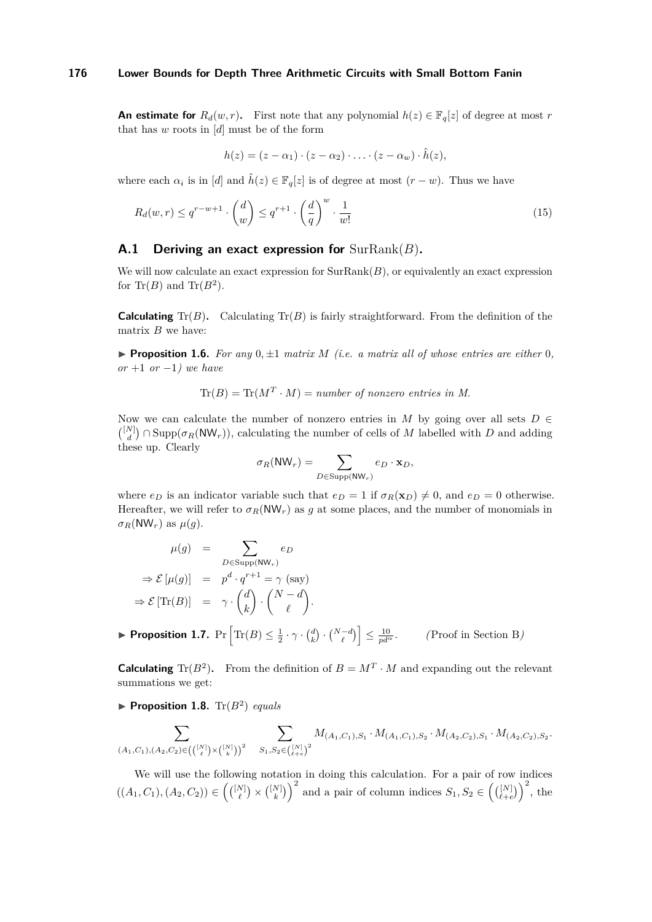**An estimate for**  $R_d(w, r)$ . First note that any polynomial  $h(z) \in \mathbb{F}_q[z]$  of degree at most *r* that has *w* roots in [*d*] must be of the form

$$
h(z)=(z-\alpha_1)\cdot(z-\alpha_2)\cdot\ldots\cdot(z-\alpha_w)\cdot\hat{h}(z),
$$

where each  $\alpha_i$  is in [*d*] and  $\hat{h}(z) \in \mathbb{F}_q[z]$  is of degree at most  $(r - w)$ . Thus we have

$$
R_d(w,r) \le q^{r-w+1} \cdot \binom{d}{w} \le q^{r+1} \cdot \left(\frac{d}{q}\right)^w \cdot \frac{1}{w!}
$$
\n
$$
(15)
$$

### **A.1 Deriving an exact expression for** SurRank(*B*)**.**

We will now calculate an exact expression for  $SurRank(B)$ , or equivalently an exact expression for Tr( $B$ ) and Tr( $B<sup>2</sup>$ ).

**Calculating**  $Tr(B)$ . Calculating  $Tr(B)$  is fairly straightforward. From the definition of the matrix *B* we have:

<span id="page-18-1"></span>**Proposition 1.6.** For any  $0, \pm 1$  matrix  $M$  (i.e. a matrix all of whose entries are either 0*, or* +1 *or* −1*) we have*

$$
Tr(B) = Tr(MT \cdot M) = number of nonzero entries in M.
$$

Now we can calculate the number of nonzero entries in  $M$  by going over all sets  $D \in$  $\binom{[N]}{d} \cap \text{Supp}(\sigma_R(\text{NW}_r))$ , calculating the number of cells of *M* labelled with *D* and adding these up. Clearly

$$
\sigma_R(\mathsf{NW}_r) = \sum_{D \in \text{Supp}(\mathsf{NW}_r)} e_D \cdot \mathbf{x}_D,
$$

where  $e_D$  is an indicator variable such that  $e_D = 1$  if  $\sigma_R(\mathbf{x}_D) \neq 0$ , and  $e_D = 0$  otherwise. Hereafter, we will refer to  $\sigma_R(\text{NW}_r)$  as g at some places, and the number of monomials in *σR*(NW<sub>*r*</sub>) as  $μ(q)$ .

$$
\mu(g) = \sum_{D \in \text{Supp}(N\mathsf{W}_r)} e_D
$$

$$
\Rightarrow \mathcal{E}[\mu(g)] = p^d \cdot q^{r+1} = \gamma \text{ (say)}
$$

$$
\Rightarrow \mathcal{E}[\text{Tr}(B)] = \gamma \cdot {d \choose k} \cdot {N-d \choose \ell}.
$$

<span id="page-18-0"></span>**• Proposition 1.7.**  $Pr\left[\text{Tr}(B) \leq \frac{1}{2} \cdot \gamma \cdot {d \choose k} \cdot {N-d \choose \ell} \right] \leq \frac{10}{pd^{\alpha}}$ . (Proof in Section [B](#page-23-0))

**Calculating** Tr( $B^2$ ). From the definition of  $B = M^T \cdot M$  and expanding out the relevant summations we get:

**Proposition 1.8.**  $\text{Tr}(B^2)$  *equals* 

$$
\sum_{(A_1,C_1),(A_2,C_2)\in \left(\binom{[N]}{\ell}\times \binom{[N]}{\ell}\right)^2} \quad \sum_{S_1,S_2\in \binom{[N]}{\ell+\ell}^2} M_{(A_1,C_1),S_1}\cdot M_{(A_1,C_1),S_2}\cdot M_{(A_2,C_2),S_1}\cdot M_{(A_2,C_2),S_2}.
$$

We will use the following notation in doing this calculation. For a pair of row indices  $((A_1, C_1), (A_2, C_2)) \in \left( \binom{[N]}{\ell} \times \binom{[N]}{\ell} \right)^2$  and a pair of column indices  $S_1, S_2 \in \left( \binom{[N]}{\ell + e} \right)^2$ , the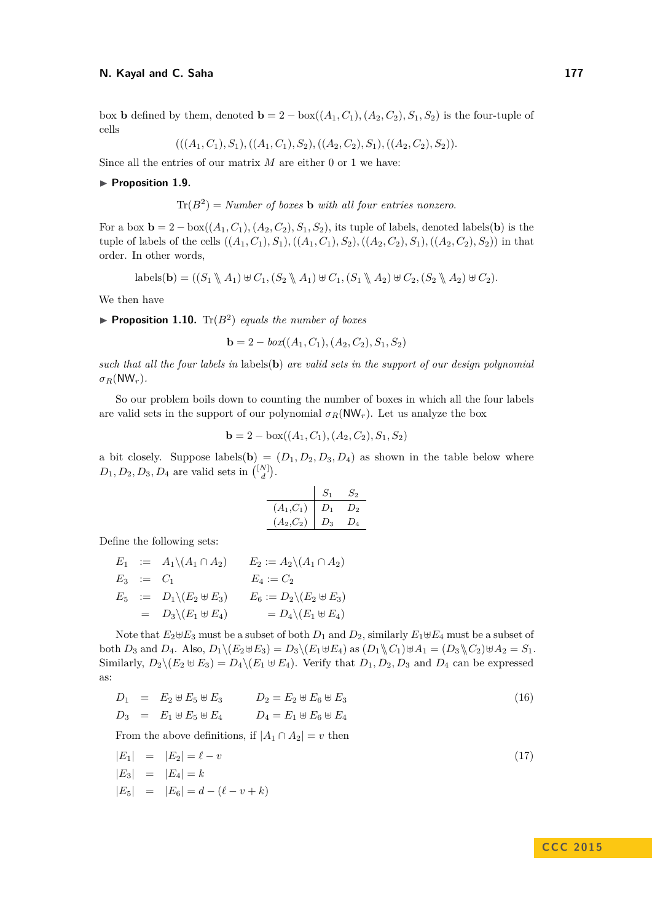box **b** defined by them, denoted  $\mathbf{b} = 2 - \text{box}((A_1, C_1), (A_2, C_2), S_1, S_2)$  is the four-tuple of cells

$$
(((A_1, C_1), S_1), ((A_1, C_1), S_2), ((A_2, C_2), S_1), ((A_2, C_2), S_2)).
$$

Since all the entries of our matrix *M* are either 0 or 1 we have:

#### ▶ Proposition 1.9.

$$
Tr(B2) = Number of boxes b with all four entries nonzero.
$$

For a box  $\mathbf{b} = 2 - \text{box}((A_1, C_1), (A_2, C_2), S_1, S_2)$ , its tuple of labels, denoted labels(**b**) is the tuple of labels of the cells  $((A_1, C_1), S_1), ((A_1, C_1), S_2), ((A_2, C_2), S_1), ((A_2, C_2), S_2)$ ) in that order. In other words,

$$
\text{labels}(\mathbf{b}) = ((S_1 \setminus A_1) \oplus C_1, (S_2 \setminus A_1) \oplus C_1, (S_1 \setminus A_2) \oplus C_2, (S_2 \setminus A_2) \oplus C_2).
$$

We then have

**Proposition 1.10.**  $\text{Tr}(B^2)$  *equals the number of boxes* 

**b** = 2 – *box*((*A*<sub>1</sub>*, C*<sub>1</sub>)*,*(*A*<sub>2</sub>*,C*<sub>2</sub>)*, S*<sub>1</sub>*, S*<sub>2</sub>)

*such that all the four labels in* labels(**b**) *are valid sets in the support of our design polynomial*  $\sigma_R(NW_r)$ .

So our problem boils down to counting the number of boxes in which all the four labels are valid sets in the support of our polynomial  $\sigma_R(\text{NW}_r)$ . Let us analyze the box

$$
\mathbf{b} = 2 - \text{box}((A_1, C_1), (A_2, C_2), S_1, S_2)
$$

a bit closely. Suppose labels(**b**) =  $(D_1, D_2, D_3, D_4)$  as shown in the table below where  $D_1, D_2, D_3, D_4$  are valid sets in  $\binom{[N]}{d}$ .

$$
\begin{array}{c|cc} & S_1 & S_2 \\ \hline (A_1, C_1) & D_1 & D_2 \\ (A_2, C_2) & D_3 & D_4 \end{array}
$$

Define the following sets:

|  | $E_1 := A_1 \setminus (A_1 \cap A_2)$     | $E_2 := A_2 \setminus (A_1 \cap A_2)$    |
|--|-------------------------------------------|------------------------------------------|
|  | $E_3 \quad := \quad C_1$                  | $E_4:=C_2$                               |
|  | $E_5$ := $D_1 \setminus (E_2 \uplus E_3)$ | $E_6 := D_2 \backslash (E_2 \oplus E_3)$ |
|  | $= D_3 \backslash (E_1 \oplus E_4)$       | $= D_4 \backslash (E_1 \uplus E_4)$      |

Note that  $E_2 \oplus E_3$  must be a subset of both  $D_1$  and  $D_2$ , similarly  $E_1 \oplus E_4$  must be a subset of both  $D_3$  and  $D_4$ . Also,  $D_1 \setminus (E_2 \oplus E_3) = D_3 \setminus (E_1 \oplus E_4)$  as  $(D_1 \setminus C_1) \oplus A_1 = (D_3 \setminus C_2) \oplus A_2 = S_1$ . Similarly,  $D_2 \setminus (E_2 \oplus E_3) = D_4 \setminus (E_1 \oplus E_4)$ . Verify that  $D_1, D_2, D_3$  and  $D_4$  can be expressed as:

<span id="page-19-0"></span>
$$
D_1 = E_2 \oplus E_5 \oplus E_3 \qquad D_2 = E_2 \oplus E_6 \oplus E_3
$$
  
\n
$$
D_3 = E_1 \oplus E_5 \oplus E_4 \qquad D_4 = E_1 \oplus E_6 \oplus E_4
$$
  
\n(16)

From the above definitions, if  $|A_1 \cap A_2| = v$  then

<span id="page-19-1"></span>
$$
|E_1| = |E_2| = \ell - v
$$
  
\n
$$
|E_3| = |E_4| = k
$$
  
\n
$$
|E_5| = |E_6| = d - (\ell - v + k)
$$
\n(17)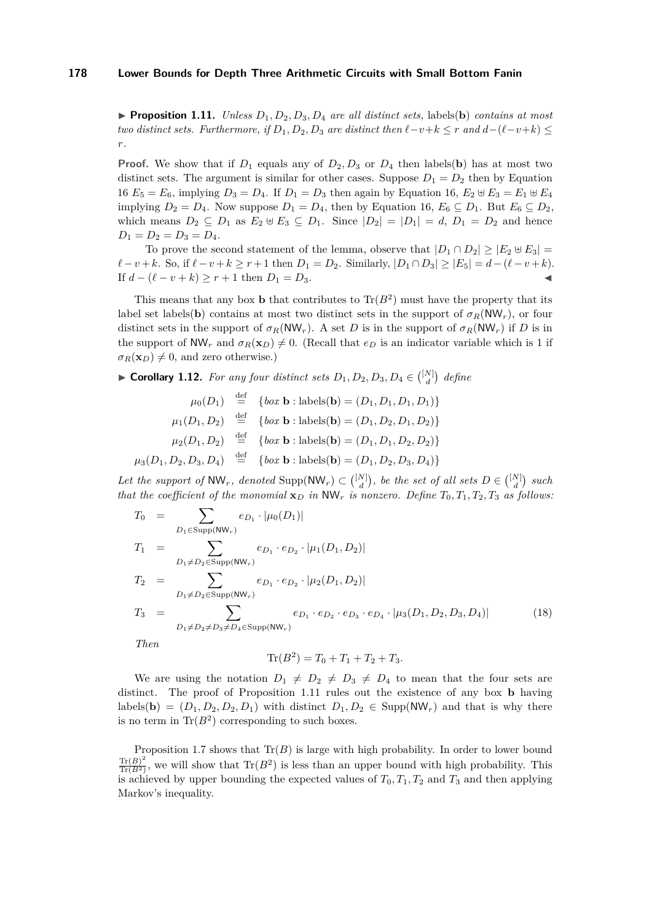<span id="page-20-0"></span>**Proposition 1.11.** *Unless*  $D_1, D_2, D_3, D_4$  *are all distinct sets,* labels(**b**) *contains at most two distinct sets. Furthermore, if*  $D_1, D_2, D_3$  *are distinct then*  $\ell - v + k \leq r$  *and*  $d - (\ell - v + k) \leq$ *r.*

**Proof.** We show that if  $D_1$  equals any of  $D_2, D_3$  or  $D_4$  then labels(**b**) has at most two distinct sets. The argument is similar for other cases. Suppose  $D_1 = D_2$  then by Equation [16](#page-19-0)  $E_5 = E_6$ , implying  $D_3 = D_4$ . If  $D_1 = D_3$  then again by Equation [16,](#page-19-0)  $E_2 \oplus E_3 = E_1 \oplus E_4$ implying  $D_2 = D_4$ . Now suppose  $D_1 = D_4$ , then by Equation [16,](#page-19-0)  $E_6 \subseteq D_1$ . But  $E_6 \subseteq D_2$ , which means  $D_2 \subseteq D_1$  as  $E_2 \oplus E_3 \subseteq D_1$ . Since  $|D_2| = |D_1| = d$ ,  $D_1 = D_2$  and hence  $D_1 = D_2 = D_3 = D_4.$ 

To prove the second statement of the lemma, observe that  $|D_1 \cap D_2| \geq |E_2 \oplus E_3|$  $\ell - v + k$ *.* So, if  $\ell - v + k \geq r + 1$  then  $D_1 = D_2$ . Similarly,  $|D_1 \cap D_3| \geq |E_5| = d - (\ell - v + k)$ . If  $d - (\ell - v + k) \ge r + 1$  then  $D_1 = D_3$ . <br>**■** 

This means that any box **b** that contributes to  $\text{Tr}(B^2)$  must have the property that its label set labels(**b**) contains at most two distinct sets in the support of  $\sigma_R(NW_r)$ , or four distinct sets in the support of  $\sigma_R(NW_r)$ . A set *D* is in the support of  $\sigma_R(NW_r)$  if *D* is in the support of  $NW_r$  and  $\sigma_R(\mathbf{x}_D) \neq 0$ . (Recall that  $e_D$  is an indicator variable which is 1 if  $\sigma_R(\mathbf{x}_D) \neq 0$ , and zero otherwise.)

▶ **Corollary 1.12.** *For any four distinct sets*  $D_1, D_2, D_3, D_4 \in \binom{[N]}{d}$  *define* 

$$
\mu_0(D_1) \stackrel{\text{def}}{=} \{box \text{ } b \text{ or } \mathbf{b} : \text{labels}(\mathbf{b}) = (D_1, D_1, D_1, D_1) \}
$$

$$
\mu_1(D_1, D_2) \stackrel{\text{def}}{=} \{box \text{ } b \text{ or } \mathbf{b} : \text{labels}(\mathbf{b}) = (D_1, D_2, D_1, D_2) \}
$$

$$
\mu_2(D_1, D_2) \stackrel{\text{def}}{=} \{box \text{ } b \text{ or } \mathbf{b} : \text{labels}(\mathbf{b}) = (D_1, D_1, D_2, D_2) \}
$$

$$
\mu_3(D_1, D_2, D_3, D_4) \stackrel{\text{def}}{=} \{box \text{ } b \text{ or } \mathbf{b} : \text{labels}(\mathbf{b}) = (D_1, D_2, D_3, D_4) \}
$$

Let the support of  $NW_r$ , denoted  $Supp(NW_r) \subset \binom{[N]}{d}$ , be the set of all sets  $D \in \binom{[N]}{d}$  such *that the coefficient of the monomial*  $\mathbf{x}_D$  *in*  $\mathsf{NW}_r$  *is nonzero. Define*  $T_0, T_1, T_2, T_3$  *as follows:* 

<span id="page-20-1"></span>
$$
T_0 = \sum_{D_1 \in \text{Supp}(NW_r)} e_{D_1} \cdot |\mu_0(D_1)|
$$
  
\n
$$
T_1 = \sum_{D_1 \neq D_2 \in \text{Supp}(NW_r)} e_{D_1} \cdot e_{D_2} \cdot |\mu_1(D_1, D_2)|
$$
  
\n
$$
T_2 = \sum_{D_1 \neq D_2 \in \text{Supp}(NW_r)} e_{D_1} \cdot e_{D_2} \cdot |\mu_2(D_1, D_2)|
$$
  
\n
$$
T_3 = \sum_{D_1 \neq D_2 \neq D_3 \neq D_4 \in \text{Supp}(NW_r)} e_{D_1} \cdot e_{D_2} \cdot e_{D_3} \cdot e_{D_4} \cdot |\mu_3(D_1, D_2, D_3, D_4)|
$$
\n(18)

*Then*

$$
\text{Tr}(B^2) = T_0 + T_1 + T_2 + T_3.
$$

We are using the notation  $D_1 \neq D_2 \neq D_3 \neq D_4$  to mean that the four sets are distinct. The proof of Proposition [1.11](#page-20-0) rules out the existence of any box **b** having labels(**b**) =  $(D_1, D_2, D_2, D_1)$  with distinct  $D_1, D_2 \in \text{Supp}(NW_r)$  and that is why there is no term in  $\text{Tr}(B^2)$  corresponding to such boxes.

Proposition [1.7](#page-18-0) shows that  $\text{Tr}(B)$  is large with high probability. In order to lower bound  $\text{Tr}(B)^2$  $\frac{\text{Tr}(B)^2}{\text{Tr}(B^2)}$ , we will show that  $\text{Tr}(B^2)$  is less than an upper bound with high probability. This is achieved by upper bounding the expected values of  $T_0, T_1, T_2$  and  $T_3$  and then applying Markov's inequality.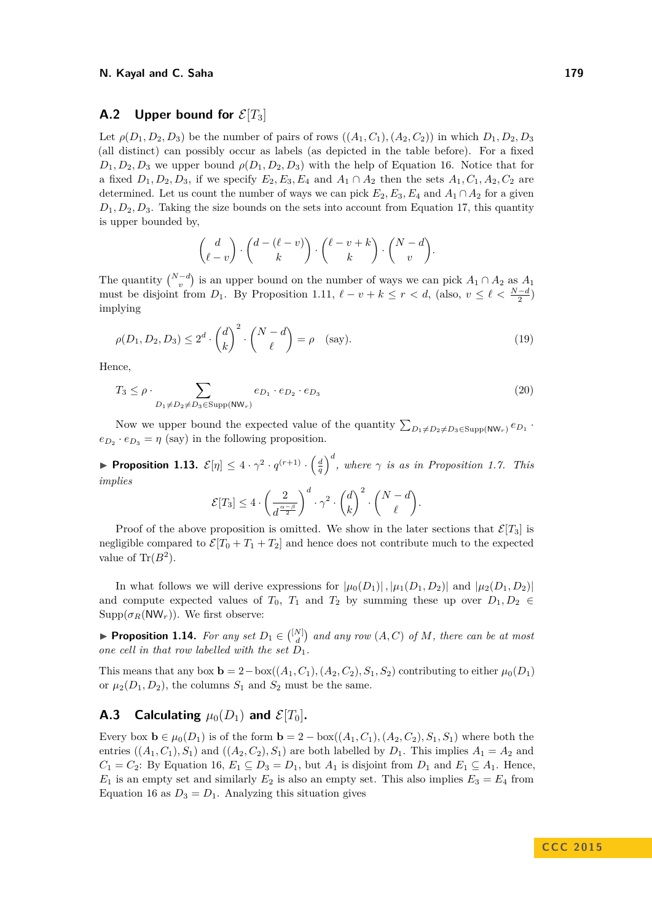### **A.2** Upper bound for  $\mathcal{E}[T_3]$

Let  $\rho(D_1, D_2, D_3)$  be the number of pairs of rows  $((A_1, C_1), (A_2, C_2))$  in which  $D_1, D_2, D_3$ (all distinct) can possibly occur as labels (as depicted in the table before). For a fixed  $D_1, D_2, D_3$  we upper bound  $\rho(D_1, D_2, D_3)$  with the help of Equation [16.](#page-19-0) Notice that for a fixed  $D_1, D_2, D_3$ , if we specify  $E_2, E_3, E_4$  and  $A_1 \cap A_2$  then the sets  $A_1, C_1, A_2, C_2$  are determined. Let us count the number of ways we can pick  $E_2, E_3, E_4$  and  $A_1 \cap A_2$  for a given  $D_1, D_2, D_3$ . Taking the size bounds on the sets into account from Equation [17,](#page-19-1) this quantity is upper bounded by,

$$
\begin{pmatrix} d \\ \ell-v \end{pmatrix} \cdot \begin{pmatrix} d-(\ell-v) \\ k \end{pmatrix} \cdot \begin{pmatrix} \ell-v+k \\ k \end{pmatrix} \cdot \begin{pmatrix} N-d \\ v \end{pmatrix}.
$$

The quantity  $\binom{N-d}{v}$  is an upper bound on the number of ways we can pick  $A_1 \cap A_2$  as  $A_1$ must be disjoint from *D*<sub>1</sub>. By Proposition [1.11,](#page-20-0)  $\ell - v + k \leq r < d$ , (also,  $v \leq \ell < \frac{N-d}{2}$ ) implying

$$
\rho(D_1, D_2, D_3) \le 2^d \cdot \binom{d}{k}^2 \cdot \binom{N-d}{\ell} = \rho \quad \text{(say)}.
$$
\n<sup>(19)</sup>

Hence,

$$
T_3 \le \rho \cdot \sum_{D_1 \ne D_2 \ne D_3 \in \text{Supp}(\text{NW}_r)} e_{D_1} \cdot e_{D_2} \cdot e_{D_3} \tag{20}
$$

Now we upper bound the expected value of the quantity  $\sum_{D_1 \neq D_2 \neq D_3 \in \text{Supp}(NW_r)} e_{D_1}$ .  $e_{D_2} \cdot e_{D_3} = \eta$  (say) in the following proposition.

<span id="page-21-0"></span>**• Proposition 1.13.**  $\mathcal{E}[\eta] \leq 4 \cdot \gamma^2 \cdot q^{(r+1)} \cdot \left(\frac{d}{q}\right)^d$ , where  $\gamma$  is as in Proposition [1.7.](#page-18-0) This *implies*

$$
\mathcal{E}[T_3] \le 4 \cdot \left(\frac{2}{d^{\frac{\alpha-\beta}{2}}}\right)^d \cdot \gamma^2 \cdot {d \choose k}^2 \cdot {N-d \choose \ell}.
$$

Proof of the above proposition is omitted. We show in the later sections that  $\mathcal{E}[T_3]$  is negligible compared to  $\mathcal{E}[T_0 + T_1 + T_2]$  and hence does not contribute much to the expected value of  $\text{Tr}(B^2)$ .

In what follows we will derive expressions for  $|\mu_0(D_1)|$ ,  $|\mu_1(D_1, D_2)|$  and  $|\mu_2(D_1, D_2)|$ and compute expected values of  $T_0$ ,  $T_1$  and  $T_2$  by summing these up over  $D_1, D_2 \in$  $\text{Supp}(\sigma_R(\text{NW}_r))$ . We first observe:

**Proposition 1.14.** For any set  $D_1 \in \binom{[N]}{d}$  and any row  $(A, C)$  of M, there can be at most *one cell in that row labelled with the set*  $\overline{D}_1$ .

This means that any box  $\mathbf{b} = 2 - \text{box}((A_1, C_1), (A_2, C_2), S_1, S_2)$  contributing to either  $\mu_0(D_1)$ or  $\mu_2(D_1, D_2)$ , the columns  $S_1$  and  $S_2$  must be the same.

# **A.3** Calculating  $\mu_0(D_1)$  and  $\mathcal{E}[T_0]$ .

Every box  $\mathbf{b} \in \mu_0(D_1)$  is of the form  $\mathbf{b} = 2 - \text{box}((A_1, C_1), (A_2, C_2), S_1, S_1)$  where both the entries  $((A_1, C_1), S_1)$  and  $((A_2, C_2), S_1)$  are both labelled by  $D_1$ . This implies  $A_1 = A_2$  and *C*<sub>1</sub> = *C*<sub>2</sub>: By Equation [16,](#page-19-0) *E*<sub>1</sub> ⊆ *D*<sub>3</sub> = *D*<sub>1</sub>, but *A*<sub>1</sub> is disjoint from *D*<sub>1</sub> and *E*<sub>1</sub> ⊆ *A*<sub>1</sub>. Hence,  $E_1$  is an empty set and similarly  $E_2$  is also an empty set. This also implies  $E_3 = E_4$  from Equation [16](#page-19-0) as  $D_3 = D_1$ . Analyzing this situation gives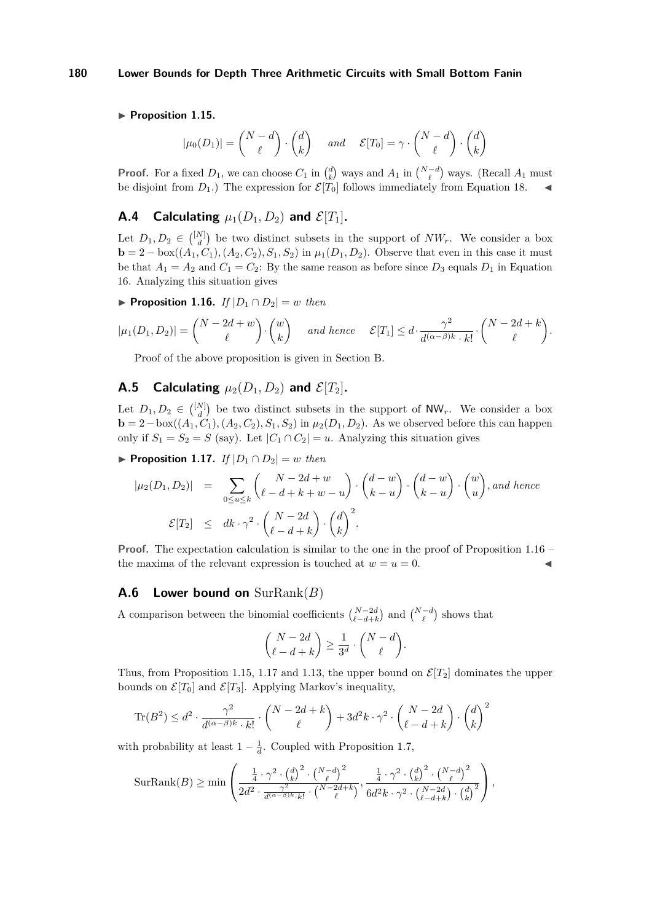### <span id="page-22-1"></span>▶ Proposition 1.15.

$$
|\mu_0(D_1)| = \binom{N-d}{\ell} \cdot \binom{d}{k} \quad \text{and} \quad \mathcal{E}[T_0] = \gamma \cdot \binom{N-d}{\ell} \cdot \binom{d}{k}
$$

**Proof.** For a fixed  $D_1$ , we can choose  $C_1$  in  $\binom{d}{k}$  ways and  $A_1$  in  $\binom{N-d}{\ell}$  ways. (Recall  $A_1$  must be disjoint from  $D_1$ .) The expression for  $\mathcal{E}[T_0]$  follows immediately from Equation [18.](#page-20-1)

# **A.4** Calculating  $\mu_1(D_1, D_2)$  and  $\mathcal{E}[T_1]$ .

Let  $D_1, D_2 \in \binom{[N]}{d}$  be two distinct subsets in the support of  $NW_r$ . We consider a box **b** = 2 – box( $(A_1, C_1)$ ,  $(A_2, C_2)$ ,  $S_1, S_2$ ) in  $\mu_1(D_1, D_2)$ . Observe that even in this case it must be that  $A_1 = A_2$  and  $C_1 = C_2$ : By the same reason as before since  $D_3$  equals  $D_1$  in Equation [16.](#page-19-0) Analyzing this situation gives

<span id="page-22-0"></span>▶ **Proposition 1.16.** *If*  $|D_1 \cap D_2| = w$  *then* 

$$
|\mu_1(D_1, D_2)| = \binom{N-2d+w}{\ell} \cdot \binom{w}{k} \quad \text{and hence} \quad \mathcal{E}[T_1] \leq d \cdot \frac{\gamma^2}{d^{(\alpha-\beta)k} \cdot k!} \cdot \binom{N-2d+k}{\ell}.
$$

Proof of the above proposition is given in Section [B.](#page-23-0)

# **A.5** Calculating  $\mu_2(D_1, D_2)$  and  $\mathcal{E}[T_2]$ .

Let  $D_1, D_2 \in \binom{[N]}{d}$  be two distinct subsets in the support of NW<sub>r</sub>. We consider a box **b** = 2−box( $(A_1, C_1)$ ,  $(A_2, C_2)$ ,  $S_1$ ,  $S_2$ ) in  $\mu_2(D_1, D_2)$ . As we observed before this can happen only if  $S_1 = S_2 = S$  (say). Let  $|C_1 \cap C_2| = u$ . Analyzing this situation gives

<span id="page-22-2"></span>▶ **Proposition 1.17.** *If*  $|D_1 \cap D_2| = w$  *then* 

$$
|\mu_2(D_1, D_2)| = \sum_{0 \le u \le k} {N - 2d + w \choose \ell - d + k + w - u} \cdot {d - w \choose k - u} \cdot {w \choose k - u} \cdot {w \choose u}, and hence
$$
  

$$
\mathcal{E}[T_2] \le dk \cdot \gamma^2 \cdot {N - 2d \choose \ell - d + k} \cdot {d \choose k}^2.
$$

**Proof.** The expectation calculation is similar to the one in the proof of Proposition [1.16](#page-22-0) – the maxima of the relevant expression is touched at  $w = u = 0$ .

### **A.6 Lower bound on** SurRank(*B*)

A comparison between the binomial coefficients  $\binom{N-2d}{\ell-d+k}$  and  $\binom{N-d}{\ell}$  shows that

$$
\binom{N-2d}{\ell-d+k} \ge \frac{1}{3^d} \cdot \binom{N-d}{\ell}.
$$

Thus, from Proposition [1.15,](#page-22-1) [1.17](#page-22-2) and [1.13,](#page-21-0) the upper bound on  $\mathcal{E}[T_2]$  dominates the upper bounds on  $\mathcal{E}[T_0]$  and  $\mathcal{E}[T_3]$ . Applying Markov's inequality,

$$
\text{Tr}(B^2) \leq d^2 \cdot \frac{\gamma^2}{d^{(\alpha-\beta)k} \cdot k!} \cdot \binom{N-2d+k}{\ell} + 3d^2k \cdot \gamma^2 \cdot \binom{N-2d}{\ell-d+k} \cdot \binom{d}{k}^2
$$

with probability at least  $1 - \frac{1}{d}$ . Coupled with Proposition [1.7,](#page-18-0)

$$
\text{SurRank}(B) \ge \min\left(\frac{\frac{1}{4} \cdot \gamma^2 \cdot {d \choose k}^2 \cdot {N-d \choose \ell}^2}{2d^2 \cdot \frac{\gamma^2}{d^{(\alpha-\beta)k} \cdot k!} \cdot {N-2d+k \choose \ell}}, \frac{\frac{1}{4} \cdot \gamma^2 \cdot {d \choose k}^2 \cdot {N-d \choose \ell}^2} {6d^2k \cdot \gamma^2 \cdot {N-2d \choose \ell-d+k} \cdot {d \choose k}^2}\right),
$$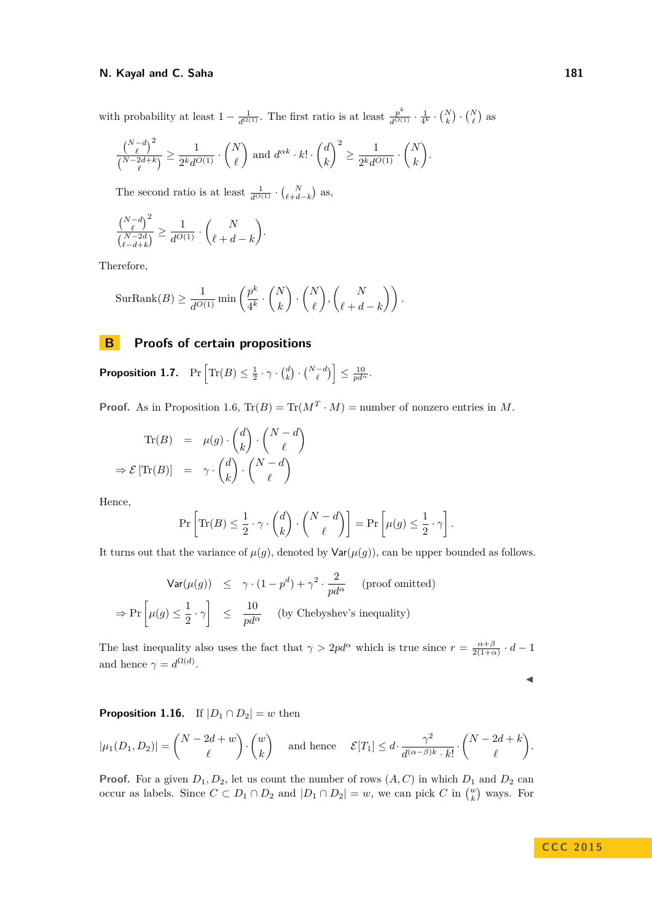with probability at least  $1 - \frac{1}{d^{\Omega(1)}}$ . The first ratio is at least  $\frac{p^k}{d^{\Omega(1)}} \cdot \frac{1}{4^k} \cdot {N \choose k} \cdot {N \choose \ell}$  as

$$
\frac{\binom{N-d}{\ell}^2}{\binom{N-2d+k}{\ell}} \ge \frac{1}{2^kd^{O(1)}} \cdot \binom{N}{\ell} \text{ and } d^{\alpha k} \cdot k! \cdot \binom{d}{k}^2 \ge \frac{1}{2^kd^{O(1)}} \cdot \binom{N}{k}.
$$

The second ratio is at least  $\frac{1}{d^{O(1)}} \cdot {N \choose \ell + d - k}$  as,

$$
\frac{\binom{N-d}{\ell}^2}{\binom{N-2d}{\ell-d+k}} \ge \frac{1}{d^{O(1)}} \cdot \binom{N}{\ell+d-k}.
$$

Therefore,

$$
\text{SurRank}(B) \ge \frac{1}{d^{O(1)}} \min \left( \frac{p^k}{4^k} \cdot \binom{N}{k} \cdot \binom{N}{\ell}, \binom{N}{\ell+d-k} \right).
$$

### <span id="page-23-0"></span>**B Proofs of certain propositions**

 $\textbf{Proposition 1.7.} \quad \Pr\left[\text{Tr}(B) \leq \frac{1}{2} \cdot \gamma \cdot {d \choose k} \cdot {N-d \choose \ell}\right] \leq \frac{10}{pd^{\alpha}}.$  $\textbf{Proposition 1.7.} \quad \Pr\left[\text{Tr}(B) \leq \frac{1}{2} \cdot \gamma \cdot {d \choose k} \cdot {N-d \choose \ell}\right] \leq \frac{10}{pd^{\alpha}}.$  $\textbf{Proposition 1.7.} \quad \Pr\left[\text{Tr}(B) \leq \frac{1}{2} \cdot \gamma \cdot {d \choose k} \cdot {N-d \choose \ell}\right] \leq \frac{10}{pd^{\alpha}}.$ 

**Proof.** As in Proposition [1.6,](#page-18-1)  $Tr(B) = Tr(M^T \cdot M)$  = number of nonzero entries in M.

$$
\operatorname{Tr}(B) = \mu(g) \cdot \binom{d}{k} \cdot \binom{N-d}{\ell}
$$

$$
\Rightarrow \mathcal{E}[\operatorname{Tr}(B)] = \gamma \cdot \binom{d}{k} \cdot \binom{N-d}{\ell}
$$

Hence,

$$
\Pr\left[\text{Tr}(B) \le \frac{1}{2} \cdot \gamma \cdot \binom{d}{k} \cdot \binom{N-d}{\ell}\right] = \Pr\left[\mu(g) \le \frac{1}{2} \cdot \gamma\right].
$$

It turns out that the variance of  $\mu(g)$ , denoted by  $\text{Var}(\mu(g))$ , can be upper bounded as follows.

$$
\begin{array}{rcl}\n\textsf{Var}(\mu(g)) & \leq & \gamma \cdot (1 - p^d) + \gamma^2 \cdot \frac{2}{pd^\alpha} \quad \text{(proof omitted)} \\
\Rightarrow \Pr\left[\mu(g) \leq \frac{1}{2} \cdot \gamma\right] & \leq & \frac{10}{pd^\alpha} \quad \text{(by Chebyshev's inequality)}\n\end{array}
$$

The last inequality also uses the fact that  $\gamma > 2pd^{\alpha}$  which is true since  $r = \frac{\alpha + \beta}{2(1+\alpha)} \cdot d - 1$ and hence  $\gamma = d^{\Omega(d)}$ .

$$
\overline{}
$$

**Proposition [1.16.](#page-22-0)** If  $|D_1 \cap D_2| = w$  then

$$
|\mu_1(D_1, D_2)| = \binom{N-2d+w}{\ell} \cdot \binom{w}{k} \quad \text{and hence} \quad \mathcal{E}[T_1] \leq d \cdot \frac{\gamma^2}{d^{(\alpha-\beta)k} \cdot k!} \cdot \binom{N-2d+k}{\ell}.
$$

**Proof.** For a given  $D_1, D_2$ , let us count the number of rows  $(A, C)$  in which  $D_1$  and  $D_2$  can occur as labels. Since  $C \subset D_1 \cap D_2$  and  $|D_1 \cap D_2| = w$ , we can pick  $C$  in  $\binom{w}{k}$  ways. For

**C C C 2 0 1 5**